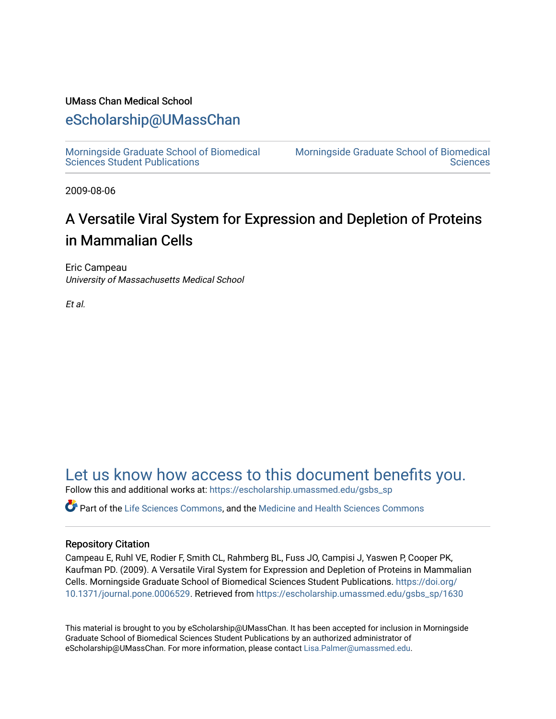# UMass Chan Medical School

# [eScholarship@UMassChan](https://escholarship.umassmed.edu/)

[Morningside Graduate School of Biomedical](https://escholarship.umassmed.edu/gsbs_sp)  [Sciences Student Publications](https://escholarship.umassmed.edu/gsbs_sp) 

[Morningside Graduate School of Biomedical](https://escholarship.umassmed.edu/gsbs)  **Sciences** 

2009-08-06

# A Versatile Viral System for Expression and Depletion of Proteins in Mammalian Cells

Eric Campeau University of Massachusetts Medical School

Et al.

[Let us know how access to this document benefits you.](https://arcsapps.umassmed.edu/redcap/surveys/?s=XWRHNF9EJE) 

Follow this and additional works at: [https://escholarship.umassmed.edu/gsbs\\_sp](https://escholarship.umassmed.edu/gsbs_sp?utm_source=escholarship.umassmed.edu%2Fgsbs_sp%2F1630&utm_medium=PDF&utm_campaign=PDFCoverPages)

Part of the [Life Sciences Commons,](http://network.bepress.com/hgg/discipline/1016?utm_source=escholarship.umassmed.edu%2Fgsbs_sp%2F1630&utm_medium=PDF&utm_campaign=PDFCoverPages) and the [Medicine and Health Sciences Commons](http://network.bepress.com/hgg/discipline/648?utm_source=escholarship.umassmed.edu%2Fgsbs_sp%2F1630&utm_medium=PDF&utm_campaign=PDFCoverPages)

# Repository Citation

Campeau E, Ruhl VE, Rodier F, Smith CL, Rahmberg BL, Fuss JO, Campisi J, Yaswen P, Cooper PK, Kaufman PD. (2009). A Versatile Viral System for Expression and Depletion of Proteins in Mammalian Cells. Morningside Graduate School of Biomedical Sciences Student Publications. [https://doi.org/](https://doi.org/10.1371/journal.pone.0006529) [10.1371/journal.pone.0006529.](https://doi.org/10.1371/journal.pone.0006529) Retrieved from [https://escholarship.umassmed.edu/gsbs\\_sp/1630](https://escholarship.umassmed.edu/gsbs_sp/1630?utm_source=escholarship.umassmed.edu%2Fgsbs_sp%2F1630&utm_medium=PDF&utm_campaign=PDFCoverPages)

This material is brought to you by eScholarship@UMassChan. It has been accepted for inclusion in Morningside Graduate School of Biomedical Sciences Student Publications by an authorized administrator of eScholarship@UMassChan. For more information, please contact [Lisa.Palmer@umassmed.edu](mailto:Lisa.Palmer@umassmed.edu).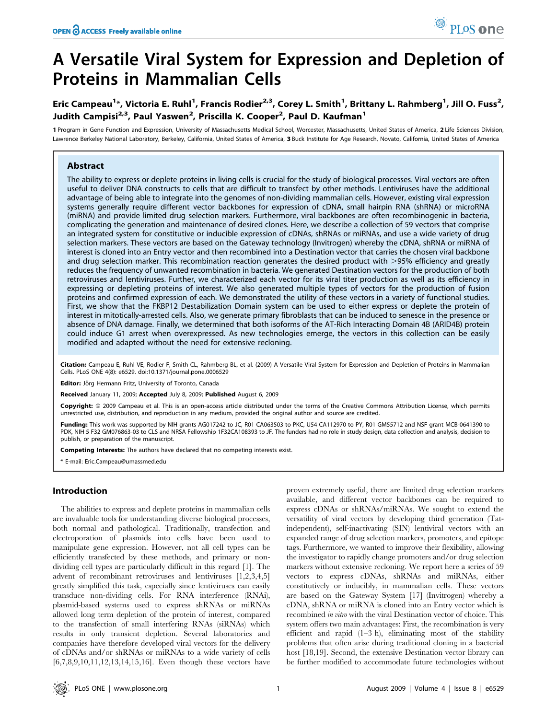# A Versatile Viral System for Expression and Depletion of Proteins in Mammalian Cells

Eric Campeau<sup>1</sup>\*, Victoria E. Ruhl<sup>1</sup>, Francis Rodier<sup>2,3</sup>, Corey L. Smith<sup>1</sup>, Brittany L. Rahmberg<sup>1</sup>, Jill O. Fuss<sup>2</sup>, Judith Campisi<sup>2,3</sup>, Paul Yaswen<sup>2</sup>, Priscilla K. Cooper<sup>2</sup>, Paul D. Kaufman<sup>1</sup>

1 Program in Gene Function and Expression, University of Massachusetts Medical School, Worcester, Massachusetts, United States of America, 2 Life Sciences Division, Lawrence Berkeley National Laboratory, Berkeley, California, United States of America, 3 Buck Institute for Age Research, Novato, California, United States of America

# Abstract

The ability to express or deplete proteins in living cells is crucial for the study of biological processes. Viral vectors are often useful to deliver DNA constructs to cells that are difficult to transfect by other methods. Lentiviruses have the additional advantage of being able to integrate into the genomes of non-dividing mammalian cells. However, existing viral expression systems generally require different vector backbones for expression of cDNA, small hairpin RNA (shRNA) or microRNA (miRNA) and provide limited drug selection markers. Furthermore, viral backbones are often recombinogenic in bacteria, complicating the generation and maintenance of desired clones. Here, we describe a collection of 59 vectors that comprise an integrated system for constitutive or inducible expression of cDNAs, shRNAs or miRNAs, and use a wide variety of drug selection markers. These vectors are based on the Gateway technology (Invitrogen) whereby the cDNA, shRNA or miRNA of interest is cloned into an Entry vector and then recombined into a Destination vector that carries the chosen viral backbone and drug selection marker. This recombination reaction generates the desired product with  $>95%$  efficiency and greatly reduces the frequency of unwanted recombination in bacteria. We generated Destination vectors for the production of both retroviruses and lentiviruses. Further, we characterized each vector for its viral titer production as well as its efficiency in expressing or depleting proteins of interest. We also generated multiple types of vectors for the production of fusion proteins and confirmed expression of each. We demonstrated the utility of these vectors in a variety of functional studies. First, we show that the FKBP12 Destabilization Domain system can be used to either express or deplete the protein of interest in mitotically-arrested cells. Also, we generate primary fibroblasts that can be induced to senesce in the presence or absence of DNA damage. Finally, we determined that both isoforms of the AT-Rich Interacting Domain 4B (ARID4B) protein could induce G1 arrest when overexpressed. As new technologies emerge, the vectors in this collection can be easily modified and adapted without the need for extensive recloning.

Citation: Campeau E, Ruhl VE, Rodier F, Smith CL, Rahmberg BL, et al. (2009) A Versatile Viral System for Expression and Depletion of Proteins in Mammalian Cells. PLoS ONE 4(8): e6529. doi:10.1371/journal.pone.0006529

Editor: Jörg Hermann Fritz, University of Toronto, Canada

Received January 11, 2009; Accepted July 8, 2009; Published August 6, 2009

Copyright: @ 2009 Campeau et al. This is an open-access article distributed under the terms of the Creative Commons Attribution License, which permits unrestricted use, distribution, and reproduction in any medium, provided the original author and source are credited.

Funding: This work was supported by NIH grants AG017242 to JC, R01 CA063503 to PKC, U54 CA112970 to PY, R01 GM55712 and NSF grant MCB-0641390 to PDK, NIH 5 F32 GM076863-03 to CLS and NRSA Fellowship 1F32CA108393 to JF. The funders had no role in study design, data collection and analysis, decision to publish, or preparation of the manuscript.

Competing Interests: The authors have declared that no competing interests exist.

\* E-mail: Eric.Campeau@umassmed.edu

# Introduction

The abilities to express and deplete proteins in mammalian cells are invaluable tools for understanding diverse biological processes, both normal and pathological. Traditionally, transfection and electroporation of plasmids into cells have been used to manipulate gene expression. However, not all cell types can be efficiently transfected by these methods, and primary or nondividing cell types are particularly difficult in this regard [1]. The advent of recombinant retroviruses and lentiviruses [1,2,3,4,5] greatly simplified this task, especially since lentiviruses can easily transduce non-dividing cells. For RNA interference (RNAi), plasmid-based systems used to express shRNAs or miRNAs allowed long term depletion of the protein of interest, compared to the transfection of small interfering RNAs (siRNAs) which results in only transient depletion. Several laboratories and companies have therefore developed viral vectors for the delivery of cDNAs and/or shRNAs or miRNAs to a wide variety of cells [6,7,8,9,10,11,12,13,14,15,16]. Even though these vectors have proven extremely useful, there are limited drug selection markers available, and different vector backbones can be required to express cDNAs or shRNAs/miRNAs. We sought to extend the versatility of viral vectors by developing third generation (Tatindependent), self-inactivating (SIN) lentiviral vectors with an expanded range of drug selection markers, promoters, and epitope tags. Furthermore, we wanted to improve their flexibility, allowing the investigator to rapidly change promoters and/or drug selection markers without extensive recloning. We report here a series of 59 vectors to express cDNAs, shRNAs and miRNAs, either constitutively or inducibly, in mammalian cells. These vectors are based on the Gateway System [17] (Invitrogen) whereby a cDNA, shRNA or miRNA is cloned into an Entry vector which is recombined in vitro with the viral Destination vector of choice. This system offers two main advantages: First, the recombination is very efficient and rapid (1–3 h), eliminating most of the stability problems that often arise during traditional cloning in a bacterial host [18,19]. Second, the extensive Destination vector library can be further modified to accommodate future technologies without

PLoS one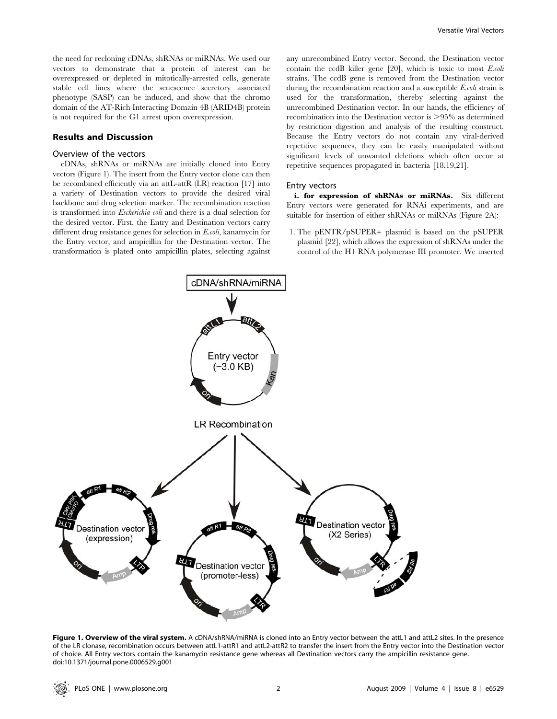the need for recloning cDNAs, shRNAs or miRNAs. We used our vectors to demonstrate that a protein of interest can be overexpressed or depleted in mitotically-arrested cells, generate stable cell lines where the senescence secretory associated phenotype (SASP) can be induced, and show that the chromo domain of the AT-Rich Interacting Domain 4B (ARID4B) protein is not required for the G1 arrest upon overexpression.

# Results and Discussion

# Overview of the vectors

cDNAs, shRNAs or miRNAs are initially cloned into Entry vectors (Figure 1). The insert from the Entry vector clone can then be recombined efficiently via an attL-attR (LR) reaction [17] into a variety of Destination vectors to provide the desired viral backbone and drug selection marker. The recombination reaction is transformed into Escherichia coli and there is a dual selection for the desired vector. First, the Entry and Destination vectors carry different drug resistance genes for selection in E.coli, kanamycin for the Entry vector, and ampicillin for the Destination vector. The transformation is plated onto ampicillin plates, selecting against any unrecombined Entry vector. Second, the Destination vector contain the ccdB killer gene [20], which is toxic to most E.coli strains. The ccdB gene is removed from the Destination vector during the recombination reaction and a susceptible E.coli strain is used for the transformation, thereby selecting against the unrecombined Destination vector. In our hands, the efficiency of recombination into the Destination vector is  $>95\%$  as determined by restriction digestion and analysis of the resulting construct. Because the Entry vectors do not contain any viral-derived repetitive sequences, they can be easily manipulated without significant levels of unwanted deletions which often occur at repetitive sequences propagated in bacteria [18,19,21].

#### Entry vectors

i. for expression of shRNAs or miRNAs. Six different Entry vectors were generated for RNAi experiments, and are suitable for insertion of either shRNAs or miRNAs (Figure 2A):

1. The pENTR/pSUPER+ plasmid is based on the pSUPER plasmid [22], which allows the expression of shRNAs under the control of the H1 RNA polymerase III promoter. We inserted



Figure 1. Overview of the viral system. A cDNA/shRNA/miRNA is cloned into an Entry vector between the attL1 and attL2 sites. In the presence of the LR clonase, recombination occurs between attL1-attR1 and attL2-attR2 to transfer the insert from the Entry vector into the Destination vector of choice. All Entry vectors contain the kanamycin resistance gene whereas all Destination vectors carry the ampicillin resistance gene. doi:10.1371/journal.pone.0006529.g001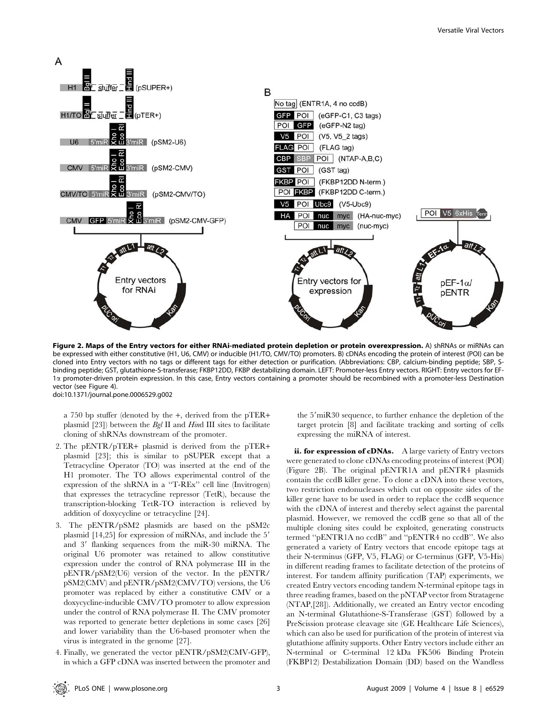

Figure 2. Maps of the Entry vectors for either RNAi-mediated protein depletion or protein overexpression. A) shRNAs or miRNAs can be expressed with either constitutive (H1, U6, CMV) or inducible (H1/TO, CMV/TO) promoters. B) cDNAs encoding the protein of interest (POI) can be cloned into Entry vectors with no tags or different tags for either detection or purification. (Abbreviations: CBP, calcium-binding peptide; SBP, Sbinding peptide; GST, glutathione-S-transferase; FKBP12DD, FKBP destabilizing domain. LEFT: Promoter-less Entry vectors. RIGHT: Entry vectors for EF-1a promoter-driven protein expression. In this case, Entry vectors containing a promoter should be recombined with a promoter-less Destination vector (see Figure 4). doi:10.1371/journal.pone.0006529.g002

a 750 bp stuffer (denoted by the +, derived from the pTER+ plasmid  $[23]$ ) between the *Bgl* II and *Hind* III sites to facilitate cloning of shRNAs downstream of the promoter.

- 2. The pENTR/pTER+ plasmid is derived from the pTER+ plasmid [23]; this is similar to pSUPER except that a Tetracycline Operator (TO) was inserted at the end of the H1 promoter. The TO allows experimental control of the expression of the shRNA in a ''T-REx'' cell line (Invitrogen) that expresses the tetracycline repressor (TetR), because the transcription-blocking TetR-TO interaction is relieved by addition of doxycycline or tetracycline [24].
- 3. The pENTR/pSM2 plasmids are based on the pSM2c plasmid  $[14,25]$  for expression of miRNAs, and include the  $5'$ and 3' flanking sequences from the miR-30 miRNA. The original U6 promoter was retained to allow constitutive expression under the control of RNA polymerase III in the pENTR/pSM2(U6) version of the vector. In the pENTR/ pSM2(CMV) and pENTR/pSM2(CMV/TO) versions, the U6 promoter was replaced by either a constitutive CMV or a doxycycline-inducible CMV/TO promoter to allow expression under the control of RNA polymerase II. The CMV promoter was reported to generate better depletions in some cases [26] and lower variability than the U6-based promoter when the virus is integrated in the genome [27].
- 4. Finally, we generated the vector pENTR/pSM2(CMV-GFP), in which a GFP cDNA was inserted between the promoter and

the 5'miR30 sequence, to further enhance the depletion of the target protein [8] and facilitate tracking and sorting of cells expressing the miRNA of interest.

ii. for expression of cDNAs. A large variety of Entry vectors were generated to clone cDNAs encoding proteins of interest (POI) (Figure 2B). The original pENTR1A and pENTR4 plasmids contain the ccdB killer gene. To clone a cDNA into these vectors, two restriction endonucleases which cut on opposite sides of the killer gene have to be used in order to replace the ccdB sequence with the cDNA of interest and thereby select against the parental plasmid. However, we removed the ccdB gene so that all of the multiple cloning sites could be exploited, generating constructs termed ''pENTR1A no ccdB'' and ''pENTR4 no ccdB''. We also generated a variety of Entry vectors that encode epitope tags at their N-terminus (GFP, V5, FLAG) or C-terminus (GFP, V5-His) in different reading frames to facilitate detection of the proteins of interest. For tandem affinity purification (TAP) experiments, we created Entry vectors encoding tandem N-terminal epitope tags in three reading frames, based on the pNTAP vector from Stratagene (NTAP,[28]). Additionally, we created an Entry vector encoding an N-terminal Glutathione-S-Transferase (GST) followed by a PreScission protease cleavage site (GE Healthcare Life Sciences), which can also be used for purification of the protein of interest via glutathione affinity supports. Other Entry vectors include either an N-terminal or C-terminal 12 kDa FK506 Binding Protein (FKBP12) Destabilization Domain (DD) based on the Wandless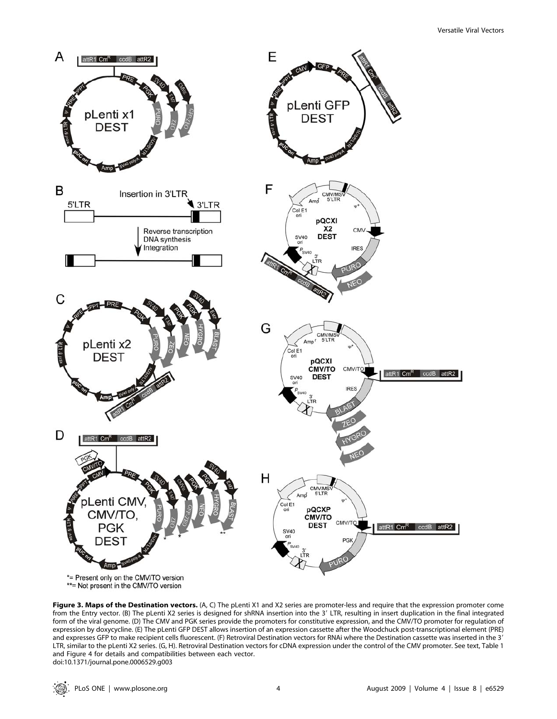

Figure 3. Maps of the Destination vectors. (A, C) The pLenti X1 and X2 series are promoter-less and require that the expression promoter come from the Entry vector. (B) The pLenti X2 series is designed for shRNA insertion into the 3' LTR, resulting in insert duplication in the final integrated form of the viral genome. (D) The CMV and PGK series provide the promoters for constitutive expression, and the CMV/TO promoter for regulation of expression by doxycycline. (E) The pLenti GFP DEST allows insertion of an expression cassette after the Woodchuck post-transcriptional element (PRE) and expresses GFP to make recipient cells fluorescent. (F) Retroviral Destination vectors for RNAi where the Destination cassette was inserted in the 3' LTR, similar to the pLenti X2 series. (G, H). Retroviral Destination vectors for cDNA expression under the control of the CMV promoter. See text, Table 1 and Figure 4 for details and compatibilities between each vector. doi:10.1371/journal.pone.0006529.g003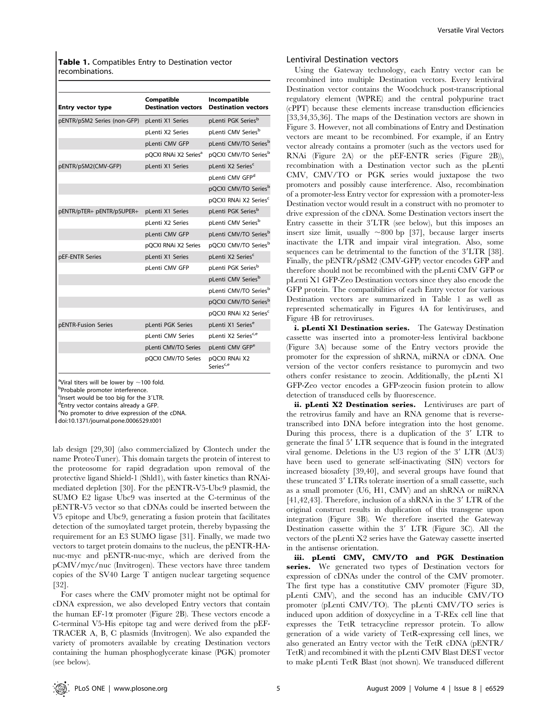Table 1. Compatibles Entry to Destination vector recombinations.

| <b>Entry vector type</b>    | Compatible<br><b>Destination vectors</b> | Incompatible<br><b>Destination vectors</b> |
|-----------------------------|------------------------------------------|--------------------------------------------|
| pENTR/pSM2 Series (non-GFP) | pLenti X1 Series                         | pLenti PGK Series <sup>b</sup>             |
|                             | pLenti X2 Series                         | pLenti CMV Series <sup>b</sup>             |
|                             | pLenti CMV GFP                           | pLenti CMV/TO Series <sup>b</sup>          |
|                             | pOCXI RNAi X2 Series <sup>a</sup>        | pQCXI CMV/TO Series <sup>b</sup>           |
| pENTR/pSM2(CMV-GFP)         | pLenti X1 Series                         | pLenti X2 Series <sup>c</sup>              |
|                             |                                          | pLenti CMV GFP <sup>d</sup>                |
|                             |                                          | pQCXI CMV/TO Series <sup>b</sup>           |
|                             |                                          | pQCXI RNAi X2 Series <sup>c</sup>          |
| pENTR/pTER+ pENTR/pSUPER+   | pLenti X1 Series                         | pLenti PGK Series <sup>b</sup>             |
|                             | pLenti X2 Series                         | pLenti CMV Series <sup>b</sup>             |
|                             | pLenti CMV GFP                           | pLenti CMV/TO Series <sup>b</sup>          |
|                             | pOCXI RNAi X2 Series                     | pOCXI CMV/TO Series <sup>b</sup>           |
| pEF-ENTR Series             | pLenti X1 Series                         | pLenti X2 Series <sup>c</sup>              |
|                             | pLenti CMV GFP                           | pLenti PGK Series <sup>b</sup>             |
|                             |                                          | pLenti CMV Series <sup>b</sup>             |
|                             |                                          | pLenti CMV/TO Series <sup>b</sup>          |
|                             |                                          | pQCXI CMV/TO Series <sup>b</sup>           |
|                             |                                          | pOCXI RNAi X2 Series <sup>c</sup>          |
| pENTR-Fusion Series         | pLenti PGK Series                        | pLenti X1 Series <sup>e</sup>              |
|                             | pLenti CMV Series                        | pLenti X2 Series <sup>c,e</sup>            |
|                             | pLenti CMV/TO Series                     | pLenti CMV GFP <sup>e</sup>                |
|                             | pQCXI CMV/TO Series                      | pQCXI RNAi X2<br>Series <sup>c,e</sup>     |

<sup>a</sup>Viral titers will be lower by  $\sim$ 100 fold.<br><sup>b</sup>Probable promoter interference

b<sub>Probable</sub> promoter interference.

<sup>c</sup> Insert would be too big for the 3'LTR.

Entry vector contains already a GFP.

eNo promoter to drive expression of the cDNA.

doi:10.1371/journal.pone.0006529.t001

lab design [29,30] (also commercialized by Clontech under the name ProteoTuner). This domain targets the protein of interest to the proteosome for rapid degradation upon removal of the protective ligand Shield-1 (Shld1), with faster kinetics than RNAimediated depletion [30]. For the pENTR-V5-Ubc9 plasmid, the SUMO E2 ligase Ubc9 was inserted at the C-terminus of the pENTR-V5 vector so that cDNAs could be inserted between the V5 epitope and Ubc9, generating a fusion protein that facilitates detection of the sumoylated target protein, thereby bypassing the requirement for an E3 SUMO ligase [31]. Finally, we made two vectors to target protein domains to the nucleus, the pENTR-HAnuc-myc and pENTR-nuc-myc, which are derived from the pCMV/myc/nuc (Invitrogen). These vectors have three tandem copies of the SV40 Large T antigen nuclear targeting sequence [32].

For cases where the CMV promoter might not be optimal for cDNA expression, we also developed Entry vectors that contain the human EF-1 $\alpha$  promoter (Figure 2B). These vectors encode a C-terminal V5-His epitope tag and were derived from the pEF-TRACER A, B, C plasmids (Invitrogen). We also expanded the variety of promoters available by creating Destination vectors containing the human phosphoglycerate kinase (PGK) promoter (see below).

#### Lentiviral Destination vectors

Using the Gateway technology, each Entry vector can be recombined into multiple Destination vectors. Every lentiviral Destination vector contains the Woodchuck post-transcriptional regulatory element (WPRE) and the central polypurine tract (cPPT) because these elements increase transduction efficiencies [33,34,35,36]. The maps of the Destination vectors are shown in Figure 3. However, not all combinations of Entry and Destination vectors are meant to be recombined. For example, if an Entry vector already contains a promoter (such as the vectors used for RNAi (Figure 2A) or the pEF-ENTR series (Figure 2B)), recombination with a Destination vector such as the pLenti CMV, CMV/TO or PGK series would juxtapose the two promoters and possibly cause interference. Also, recombination of a promoter-less Entry vector for expression with a promoter-less Destination vector would result in a construct with no promoter to drive expression of the cDNA. Some Destination vectors insert the Entry cassette in their  $3'LTR$  (see below), but this imposes an insert size limit, usually  $\sim 800$  bp [37], because larger inserts inactivate the LTR and impair viral integration. Also, some sequences can be detrimental to the function of the 3'LTR [38]. Finally, the pENTR/pSM2 (CMV-GFP) vector encodes GFP and therefore should not be recombined with the pLenti CMV GFP or pLenti X1 GFP-Zeo Destination vectors since they also encode the GFP protein. The compatibilities of each Entry vector for various Destination vectors are summarized in Table 1 as well as represented schematically in Figures 4A for lentiviruses, and Figure 4B for retroviruses.

i. pLenti X1 Destination series. The Gateway Destination cassette was inserted into a promoter-less lentiviral backbone (Figure 3A) because some of the Entry vectors provide the promoter for the expression of shRNA, miRNA or cDNA. One version of the vector confers resistance to puromycin and two others confer resistance to zeocin. Additionally, the pLenti X1 GFP-Zeo vector encodes a GFP-zeocin fusion protein to allow detection of transduced cells by fluorescence.

ii. pLenti X2 Destination series. Lentiviruses are part of the retrovirus family and have an RNA genome that is reversetranscribed into DNA before integration into the host genome. During this process, there is a duplication of the  $3'$  LTR to generate the final 5' LTR sequence that is found in the integrated viral genome. Deletions in the U3 region of the 3' LTR  $(\Delta U3)$ have been used to generate self-inactivating (SIN) vectors for increased biosafety [39,40], and several groups have found that these truncated 3' LTRs tolerate insertion of a small cassette, such as a small promoter (U6, H1, CMV) and an shRNA or miRNA  $[41,42,43]$ . Therefore, inclusion of a shRNA in the 3' LTR of the original construct results in duplication of this transgene upon integration (Figure 3B). We therefore inserted the Gateway Destination cassette within the 3' LTR (Figure 3C). All the vectors of the pLenti X2 series have the Gateway cassette inserted in the antisense orientation.

iii. pLenti CMV, CMV/TO and PGK Destination series. We generated two types of Destination vectors for expression of cDNAs under the control of the CMV promoter. The first type has a constitutive CMV promoter (Figure 3D, pLenti CMV), and the second has an inducible CMV/TO promoter (pLenti CMV/TO). The pLenti CMV/TO series is induced upon addition of doxycycline in a T-REx cell line that expresses the TetR tetracycline repressor protein. To allow generation of a wide variety of TetR-expressing cell lines, we also generated an Entry vector with the TetR cDNA (pENTR/ TetR) and recombined it with the pLenti CMV Blast DEST vector to make pLenti TetR Blast (not shown). We transduced different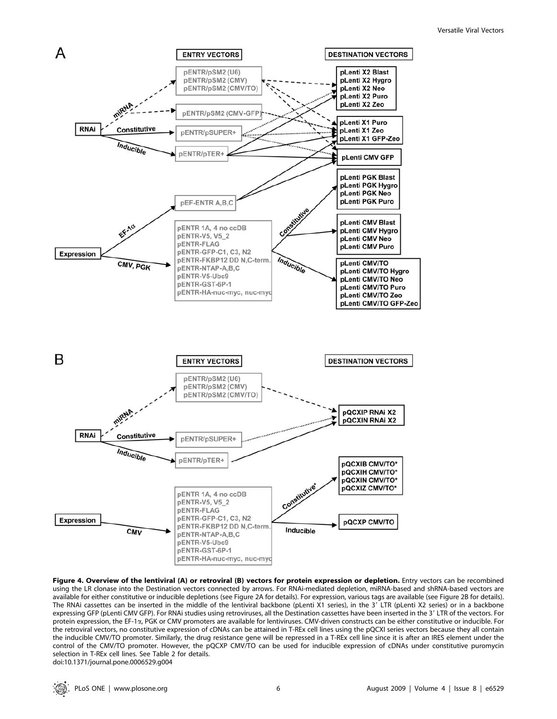

Figure 4. Overview of the lentiviral (A) or retroviral (B) vectors for protein expression or depletion. Entry vectors can be recombined using the LR clonase into the Destination vectors connected by arrows. For RNAi-mediated depletion, miRNA-based and shRNA-based vectors are available for either constitutive or inducible depletions (see Figure 2A for details). For expression, various tags are available (see Figure 2B for details). The RNAi cassettes can be inserted in the middle of the lentiviral backbone (pLenti X1 series), in the 3' LTR (pLenti X2 series) or in a backbone expressing GFP (pLenti CMV GFP). For RNAi studies using retroviruses, all the Destination cassettes have been inserted in the 3' LTR of the vectors. For protein expression, the EF-1a, PGK or CMV promoters are available for lentiviruses. CMV-driven constructs can be either constitutive or inducible. For the retroviral vectors, no constitutive expression of cDNAs can be attained in T-REx cell lines using the pQCXI series vectors because they all contain the inducible CMV/TO promoter. Similarly, the drug resistance gene will be repressed in a T-REx cell line since it is after an IRES element under the control of the CMV/TO promoter. However, the pQCXP CMV/TO can be used for inducible expression of cDNAs under constitutive puromycin selection in T-REx cell lines. See Table 2 for details. doi:10.1371/journal.pone.0006529.g004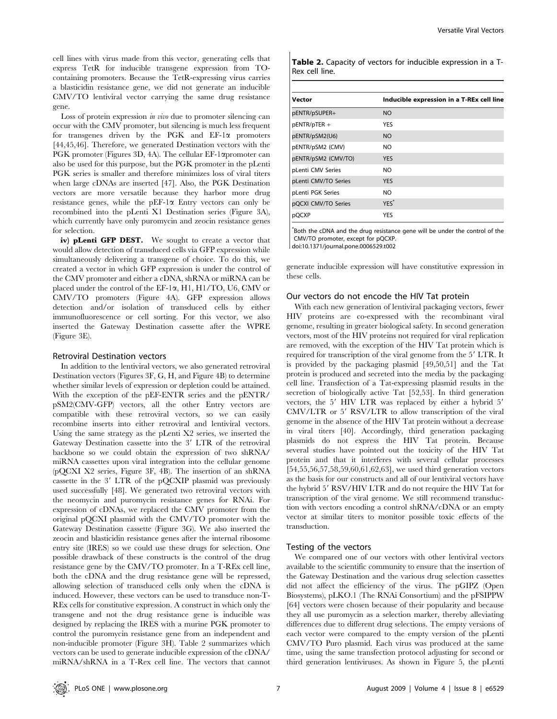cell lines with virus made from this vector, generating cells that express TetR for inducible transgene expression from TOcontaining promoters. Because the TetR-expressing virus carries a blasticidin resistance gene, we did not generate an inducible CMV/TO lentiviral vector carrying the same drug resistance gene.

Loss of protein expression *in vivo* due to promoter silencing can occur with the CMV promoter, but silencing is much less frequent for transgenes driven by the PGK and  $EF-1\alpha$  promoters [44,45,46]. Therefore, we generated Destination vectors with the PGK promoter (Figures 3D, 4A). The cellular EF-1 $\alpha$ promoter can also be used for this purpose, but the PGK promoter in the pLenti PGK series is smaller and therefore minimizes loss of viral titers when large cDNAs are inserted [47]. Also, the PGK Destination vectors are more versatile because they harbor more drug resistance genes, while the pEF-1 $\alpha$  Entry vectors can only be recombined into the pLenti X1 Destination series (Figure 3A), which currently have only puromycin and zeocin resistance genes for selection.

iv) pLenti GFP DEST. We sought to create a vector that would allow detection of transduced cells via GFP expression while simultaneously delivering a transgene of choice. To do this, we created a vector in which GFP expression is under the control of the CMV promoter and either a cDNA, shRNA or miRNA can be placed under the control of the EF-1a, H1, H1/TO, U6, CMV or CMV/TO promoters (Figure 4A). GFP expression allows detection and/or isolation of transduced cells by either immunofluorescence or cell sorting. For this vector, we also inserted the Gateway Destination cassette after the WPRE (Figure 3E).

#### Retroviral Destination vectors

In addition to the lentiviral vectors, we also generated retroviral Destination vectors (Figures 3F, G, H, and Figure 4B) to determine whether similar levels of expression or depletion could be attained. With the exception of the pEF-ENTR series and the pENTR/ pSM2(CMV-GFP) vectors, all the other Entry vectors are compatible with these retroviral vectors, so we can easily recombine inserts into either retroviral and lentiviral vectors. Using the same strategy as the pLenti X2 series, we inserted the Gateway Destination cassette into the 3' LTR of the retroviral backbone so we could obtain the expression of two shRNA/ miRNA cassettes upon viral integration into the cellular genome (pQCXI X2 series, Figure 3F, 4B). The insertion of an shRNA cassette in the  $3'$  LTR of the pQCXIP plasmid was previously used successfully [48]. We generated two retroviral vectors with the neomycin and puromycin resistance genes for RNAi. For expression of cDNAs, we replaced the CMV promoter from the original pQCXI plasmid with the CMV/TO promoter with the Gateway Destination cassette (Figure 3G). We also inserted the zeocin and blasticidin resistance genes after the internal ribosome entry site (IRES) so we could use these drugs for selection. One possible drawback of these constructs is the control of the drug resistance gene by the CMV/TO promoter. In a T-REx cell line, both the cDNA and the drug resistance gene will be repressed, allowing selection of transduced cells only when the cDNA is induced. However, these vectors can be used to transduce non-T-REx cells for constitutive expression. A construct in which only the transgene and not the drug resistance gene is inducible was designed by replacing the IRES with a murine PGK promoter to control the puromycin resistance gene from an independent and non-inducible promoter (Figure 3H). Table 2 summarizes which vectors can be used to generate inducible expression of the cDNA/ miRNA/shRNA in a T-Rex cell line. The vectors that cannot

| Table 2. Capacity of vectors for inducible expression in a T- |  |  |  |
|---------------------------------------------------------------|--|--|--|
| Rex cell line.                                                |  |  |  |

| Vector               | Inducible expression in a T-REx cell line |
|----------------------|-------------------------------------------|
| pENTR/pSUPER+        | <b>NO</b>                                 |
| pENTR/pTER +         | <b>YES</b>                                |
| pENTR/pSM2(U6)       | <b>NO</b>                                 |
| pENTR/pSM2 (CMV)     | NΟ                                        |
| pENTR/pSM2 (CMV/TO)  | <b>YES</b>                                |
| pLenti CMV Series    | NO.                                       |
| pLenti CMV/TO Series | <b>YES</b>                                |
| pLenti PGK Series    | NΟ                                        |
| pQCXI CMV/TO Series  | $YES^*$                                   |
| pQCXP                | YES                                       |

\* Both the cDNA and the drug resistance gene will be under the control of the CMV/TO promoter, except for pQCXP.

doi:10.1371/journal.pone.0006529.t002

generate inducible expression will have constitutive expression in these cells.

# Our vectors do not encode the HIV Tat protein

With each new generation of lentiviral packaging vectors, fewer HIV proteins are co-expressed with the recombinant viral genome, resulting in greater biological safety. In second generation vectors, most of the HIV proteins not required for viral replication are removed, with the exception of the HIV Tat protein which is required for transcription of the viral genome from the 5' LTR. It is provided by the packaging plasmid [49,50,51] and the Tat protein is produced and secreted into the media by the packaging cell line. Transfection of a Tat-expressing plasmid results in the secretion of biologically active Tat [52,53]. In third generation vectors, the  $5'$  HIV LTR was replaced by either a hybrid  $5'$ CMV/LTR or 5' RSV/LTR to allow transcription of the viral genome in the absence of the HIV Tat protein without a decrease in viral titers [40]. Accordingly, third generation packaging plasmids do not express the HIV Tat protein. Because several studies have pointed out the toxicity of the HIV Tat protein and that it interferes with several cellular processes [54,55,56,57,58,59,60,61,62,63], we used third generation vectors as the basis for our constructs and all of our lentiviral vectors have the hybrid 5' RSV/HIV LTR and do not require the HIV Tat for transcription of the viral genome. We still recommend transduction with vectors encoding a control shRNA/cDNA or an empty vector at similar titers to monitor possible toxic effects of the transduction.

### Testing of the vectors

We compared one of our vectors with other lentiviral vectors available to the scientific community to ensure that the insertion of the Gateway Destination and the various drug selection cassettes did not affect the efficiency of the virus. The pGIPZ (Open Biosystems), pLKO.1 (The RNAi Consortium) and the pFSIPPW [64] vectors were chosen because of their popularity and because they all use puromycin as a selection marker, thereby alleviating differences due to different drug selections. The empty versions of each vector were compared to the empty version of the pLenti CMV/TO Puro plasmid. Each virus was produced at the same time, using the same transfection protocol adjusting for second or third generation lentiviruses. As shown in Figure 5, the pLenti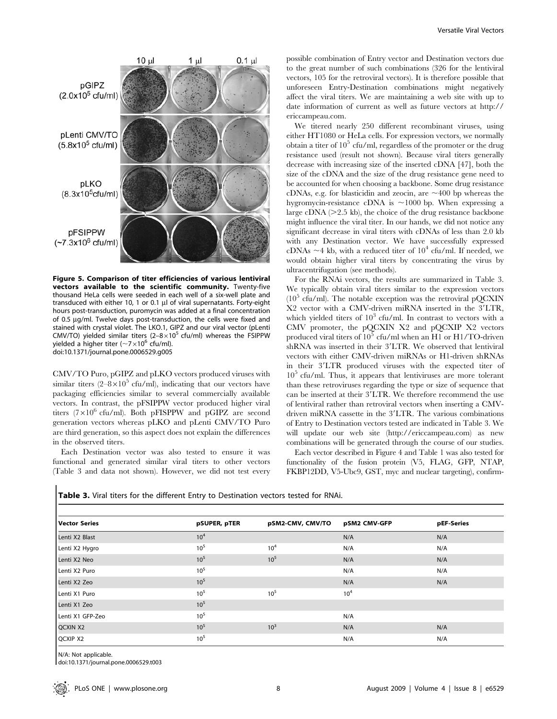

Figure 5. Comparison of titer efficiencies of various lentiviral vectors available to the scientific community. Twenty-five thousand HeLa cells were seeded in each well of a six-well plate and transduced with either 10, 1 or 0.1 µl of viral supernatants. Forty-eight hours post-transduction, puromycin was added at a final concentration of 0.5 µg/ml. Twelve days post-transduction, the cells were fixed and stained with crystal violet. The LKO.1, GIPZ and our viral vector (pLenti CMV/TO) yielded similar titers  $(2-8\times10^5 \text{ cfu/ml})$  whereas the FSIPPW yielded a higher titer ( $\sim$ 7 $\times$ 10<sup>6</sup> cfu/ml). doi:10.1371/journal.pone.0006529.g005

CMV/TO Puro, pGIPZ and pLKO vectors produced viruses with similar titers  $(2-8\times10^5 \text{ cftt/ml})$ , indicating that our vectors have packaging efficiencies similar to several commercially available vectors. In contrast, the pFSIPPW vector produced higher viral titers ( $7\times10^6$  cfu/ml). Both pFISPPW and pGIPZ are second generation vectors whereas pLKO and pLenti CMV/TO Puro are third generation, so this aspect does not explain the differences in the observed titers.

Each Destination vector was also tested to ensure it was functional and generated similar viral titers to other vectors (Table 3 and data not shown). However, we did not test every

possible combination of Entry vector and Destination vectors due to the great number of such combinations (326 for the lentiviral vectors, 105 for the retroviral vectors). It is therefore possible that unforeseen Entry-Destination combinations might negatively affect the viral titers. We are maintaining a web site with up to date information of current as well as future vectors at http:// ericcampeau.com.

We titered nearly 250 different recombinant viruses, using either HT1080 or HeLa cells. For expression vectors, we normally obtain a titer of  $10^5$  cfu/ml, regardless of the promoter or the drug resistance used (result not shown). Because viral titers generally decrease with increasing size of the inserted cDNA [47], both the size of the cDNA and the size of the drug resistance gene need to be accounted for when choosing a backbone. Some drug resistance cDNAs, e.g. for blasticidin and zeocin, are  $\sim$ 400 bp whereas the hygromycin-resistance cDNA is  $\sim$ 1000 bp. When expressing a large cDNA  $(>2.5 \text{ kb})$ , the choice of the drug resistance backbone might influence the viral titer. In our hands, we did not notice any significant decrease in viral titers with cDNAs of less than 2.0 kb with any Destination vector. We have successfully expressed cDNAs  $\sim$ 4 kb, with a reduced titer of 10<sup>4</sup> cfu/ml. If needed, we would obtain higher viral titers by concentrating the virus by ultracentrifugation (see methods).

For the RNAi vectors, the results are summarized in Table 3. We typically obtain viral titers similar to the expression vectors  $(10<sup>5</sup>$  cfu/ml). The notable exception was the retroviral pOCXIN  $X2$  vector with a CMV-driven miRNA inserted in the  $3'LTR$ , which yielded titers of  $10^3$  cfu/ml. In contrast to vectors with a CMV promoter, the pQCXIN X2 and pQCXIP X2 vectors produced viral titers of  $10^5$  cfu/ml when an H1 or H1/TO-driven shRNA was inserted in their 3'LTR. We observed that lentiviral vectors with either CMV-driven miRNAs or H1-driven shRNAs in their 3'LTR produced viruses with the expected titer of  $10<sup>5</sup>$  cfu/ml. Thus, it appears that lentiviruses are more tolerant than these retroviruses regarding the type or size of sequence that can be inserted at their 3'LTR. We therefore recommend the use of lentiviral rather than retroviral vectors when inserting a CMVdriven miRNA cassette in the 3'LTR. The various combinations of Entry to Destination vectors tested are indicated in Table 3. We will update our web site (http://ericcampeau.com) as new combinations will be generated through the course of our studies.

Each vector described in Figure 4 and Table 1 was also tested for functionality of the fusion protein (V5, FLAG, GFP, NTAP, FKBP12DD, V5-Ubc9, GST, myc and nuclear targeting), confirm-

Table 3. Viral titers for the different Entry to Destination vectors tested for RNAi.

| <b>Vector Series</b> | pSUPER, pTER    | pSM2-CMV, CMV/TO | pSM2 CMV-GFP    | pEF-Series |
|----------------------|-----------------|------------------|-----------------|------------|
| Lenti X2 Blast       | 10 <sup>4</sup> |                  | N/A             | N/A        |
| Lenti X2 Hygro       | 10 <sup>5</sup> | 10 <sup>4</sup>  | N/A             | N/A        |
| Lenti X2 Neo         | 10 <sup>5</sup> | $10^{5}$         | N/A             | N/A        |
| Lenti X2 Puro        | 10 <sup>5</sup> |                  | N/A             | N/A        |
| Lenti X2 Zeo         | 10 <sup>5</sup> |                  | N/A             | N/A        |
| Lenti X1 Puro        | 10 <sup>5</sup> | $10^{5}$         | 10 <sup>4</sup> |            |
| Lenti X1 Zeo         | 10 <sup>5</sup> |                  |                 |            |
| Lenti X1 GFP-Zeo     | 10 <sup>5</sup> |                  | N/A             |            |
| <b>QCXIN X2</b>      | 10 <sup>5</sup> | $10^{3}$         | N/A             | N/A        |
| <b>QCXIP X2</b>      | 10 <sup>5</sup> |                  | N/A             | N/A        |

N/A: Not applicable.

doi:10.1371/journal.pone.0006529.t003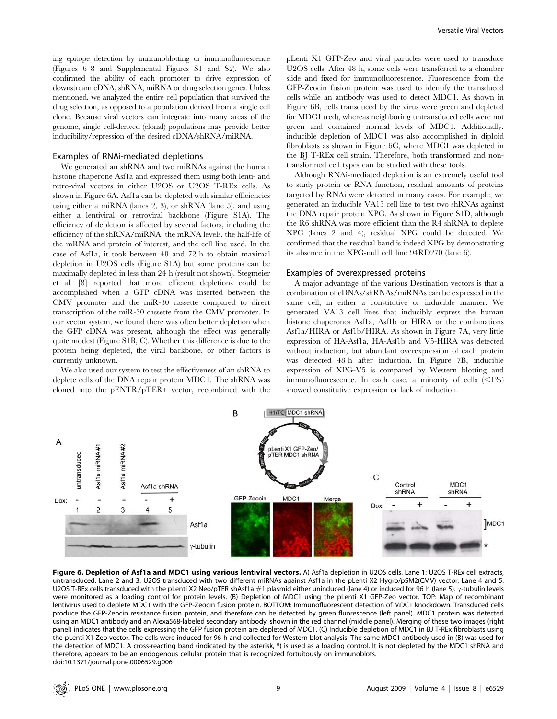ing epitope detection by immunoblotting or immunofluorescence (Figures 6–8 and Supplemental Figures S1 and S2). We also confirmed the ability of each promoter to drive expression of downstream cDNA, shRNA, miRNA or drug selection genes. Unless mentioned, we analyzed the entire cell population that survived the drug selection, as opposed to a population derived from a single cell clone. Because viral vectors can integrate into many areas of the genome, single cell-derived (clonal) populations may provide better inducibility/repression of the desired cDNA/shRNA/miRNA.

## Examples of RNAi-mediated depletions

We generated an shRNA and two miRNAs against the human histone chaperone Asf1a and expressed them using both lenti- and retro-viral vectors in either U2OS or U2OS T-REx cells. As shown in Figure 6A, Asf1a can be depleted with similar efficiencies using either a miRNA (lanes 2, 3), or shRNA (lane 5), and using either a lentiviral or retroviral backbone (Figure S1A). The efficiency of depletion is affected by several factors, including the efficiency of the shRNA/miRNA, the mRNA levels, the half-life of the mRNA and protein of interest, and the cell line used. In the case of Asf1a, it took between 48 and 72 h to obtain maximal depletion in U2OS cells (Figure S1A) but some proteins can be maximally depleted in less than 24 h (result not shown). Stegmeier et al. [8] reported that more efficient depletions could be accomplished when a GFP cDNA was inserted between the CMV promoter and the miR-30 cassette compared to direct transcription of the miR-30 cassette from the CMV promoter. In our vector system, we found there was often better depletion when the GFP cDNA was present, although the effect was generally quite modest (Figure S1B, C). Whether this difference is due to the protein being depleted, the viral backbone, or other factors is currently unknown.

We also used our system to test the effectiveness of an shRNA to deplete cells of the DNA repair protein MDC1. The shRNA was cloned into the pENTR/pTER+ vector, recombined with the

pLenti X1 GFP-Zeo and viral particles were used to transduce U2OS cells. After 48 h, some cells were transferred to a chamber slide and fixed for immunofluorescence. Fluorescence from the GFP-Zeocin fusion protein was used to identify the transduced cells while an antibody was used to detect MDC1. As shown in Figure 6B, cells transduced by the virus were green and depleted for MDC1 (red), whereas neighboring untransduced cells were not green and contained normal levels of MDC1. Additionally, inducible depletion of MDC1 was also accomplished in diploid fibroblasts as shown in Figure 6C, where MDC1 was depleted in the BJ T-REx cell strain. Therefore, both transformed and nontransformed cell types can be studied with these tools.

Although RNAi-mediated depletion is an extremely useful tool to study protein or RNA function, residual amounts of proteins targeted by RNAi were detected in many cases. For example, we generated an inducible VA13 cell line to test two shRNAs against the DNA repair protein XPG. As shown in Figure S1D, although the R6 shRNA was more efficient than the R4 shRNA to deplete XPG (lanes 2 and 4), residual XPG could be detected. We confirmed that the residual band is indeed XPG by demonstrating its absence in the XPG-null cell line 94RD270 (lane 6).

## Examples of overexpressed proteins

A major advantage of the various Destination vectors is that a combination of cDNAs/shRNAs/miRNAs can be expressed in the same cell, in either a constitutive or inducible manner. We generated VA13 cell lines that inducibly express the human histone chaperones Asf1a, Asf1b or HIRA or the combinations Asf1a/HIRA or Asf1b/HIRA. As shown in Figure 7A, very little expression of HA-Asf1a, HA-Asf1b and V5-HIRA was detected without induction, but abundant overexpression of each protein was detected 48 h after induction. In Figure 7B, inducible expression of XPG-V5 is compared by Western blotting and immunofluorescence. In each case, a minority of cells  $\langle \leq 1\% \rangle$ showed constitutive expression or lack of induction.



Figure 6. Depletion of Asf1a and MDC1 using various lentiviral vectors. A) Asf1a depletion in U2OS cells. Lane 1: U2OS T-REx cell extracts, untransduced. Lane 2 and 3: U2OS transduced with two different miRNAs against Asf1a in the pLenti X2 Hygro/pSM2(CMV) vector; Lane 4 and 5: U2OS T-REx cells transduced with the pLenti X2 Neo/pTER shAsf1a  $\#1$  plasmid either uninduced (lane 4) or induced for 96 h (lane 5).  $\gamma$ -tubulin levels were monitored as a loading control for protein levels. (B) Depletion of MDC1 using the pLenti X1 GFP-Zeo vector. TOP: Map of recombinant lentivirus used to deplete MDC1 with the GFP-Zeocin fusion protein. BOTTOM: Immunofluorescent detection of MDC1 knockdown. Transduced cells produce the GFP-Zeocin resistance fusion protein, and therefore can be detected by green fluorescence (left panel). MDC1 protein was detected using an MDC1 antibody and an Alexa568-labeled secondary antibody, shown in the red channel (middle panel). Merging of these two images (right panel) indicates that the cells expressing the GFP fusion protein are depleted of MDC1. (C) Inducible depletion of MDC1 in BJ T-REx fibroblasts using the pLenti X1 Zeo vector. The cells were induced for 96 h and collected for Western blot analysis. The same MDC1 antibody used in (B) was used for the detection of MDC1. A cross-reacting band (indicated by the asterisk, \*) is used as a loading control. It is not depleted by the MDC1 shRNA and therefore, appears to be an endogenous cellular protein that is recognized fortuitously on immunoblots. doi:10.1371/journal.pone.0006529.g006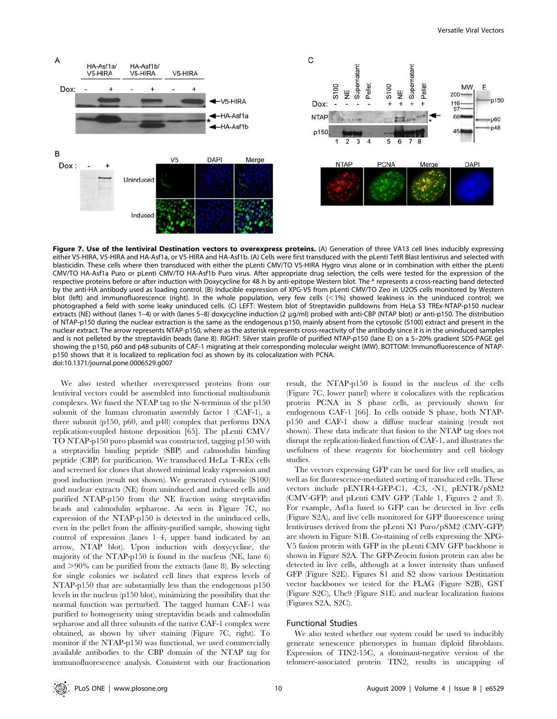E

p150

p60

 $-048$ 



Figure 7. Use of the lentiviral Destination vectors to overexpress proteins. (A) Generation of three VA13 cell lines inducibly expressing either V5-HIRA, V5-HIRA and HA-Asf1a, or V5-HIRA and HA-Asf1b. (A) Cells were first transduced with the pLenti TetR Blast lentivirus and selected with blasticidin. These cells where then transduced with either the pLenti CMV/TO V5-HIRA Hygro virus alone or in combination with either the pLenti CMV/TO HA-Asf1a Puro or pLenti CMV/TO HA-Asf1b Puro virus. After appropriate drug selection, the cells were tested for the expression of the respective proteins before or after induction with Doxycycline for 48 h by anti-epitope Western blot. The \* represents a cross-reacting band detected by the anti-HA antibody used as loading control. (B) Inducible expression of XPG-V5 from pLenti CMV/TO Zeo in U2OS cells monitored by Western blot (left) and immunofluorescence (right). In the whole population, very few cells  $(<1%)$  showed leakiness in the uninduced control; we photographed a field with some leaky uninduced cells. (C) LEFT: Western blot of Streptavidin pulldowns from HeLa S3 TREx-NTAP-p150 nuclear extracts (NE) without (lanes 1-4) or with (lanes 5-8) doxycycline induction (2 μg/ml) probed with anti-CBP (NTAP blot) or anti-p150. The distribution of NTAP-p150 during the nuclear extraction is the same as the endogenous p150, mainly absent from the cytosolic (S100) extract and present in the nuclear extract. The arrow represents NTAP-p150, where as the asterisk represents cross-reactivity of the antibody since it is in the uninduced samples and is not pelleted by the streptavidin beads (lane 8). RIGHT: Silver stain profile of purified NTAP-p150 (lane E) on a 5–20% gradient SDS-PAGE gel showing the p150, p60 and p48 subunits of CAF-1 migrating at their corresponding molecular weight (MW). BOTTOM: Immunofluorescence of NTAPp150 shows that it is localized to replication foci as shown by its colocalization with PCNA. doi:10.1371/journal.pone.0006529.g007

We also tested whether overexpressed proteins from our lentiviral vectors could be assembled into functional multisubunit complexes. We fused the NTAP tag to the N-terminus of the p150 subunit of the human chromatin assembly factor 1 (CAF-1), a three subunit (p150, p60, and p48) complex that performs DNA replication-coupled histone deposition [65]. The pLenti CMV/ TO NTAP-p150 puro plasmid was constructed, tagging p150 with a streptavidin binding peptide (SBP) and calmodulin binding peptide (CBP) for purification. We transduced HeLa T-REx cells and screened for clones that showed minimal leaky expression and good induction (result not shown). We generated cytosolic (S100) and nuclear extracts (NE) from uninduced and induced cells and purified NTAP-p150 from the NE fraction using streptavidin beads and calmodulin sepharose. As seen in Figure 7C, no expression of the NTAP-p150 is detected in the uninduced cells, even in the pellet from the affinity-purified sample, showing tight control of expression (lanes 1–4, upper band indicated by an arrow, NTAP blot). Upon induction with doxycycline, the majority of the NTAP-p150 is found in the nucleus (NE, lane 6) and  $>90\%$  can be purified from the extracts (lane 8). By selecting for single colonies we isolated cell lines that express levels of NTAP-p150 that are substantially less than the endogenous p150 levels in the nucleus (p150 blot), minimizing the possibility that the normal function was perturbed. The tagged human CAF-1 was purified to homogeneity using streptavidin beads and calmodulin sepharose and all three subunits of the native CAF-1 complex were obtained, as shown by silver staining (Figure 7C, right). To monitor if the NTAP-p150 was functional, we used commercially available antibodies to the CBP domain of the NTAP tag for immunofluorescence analysis. Consistent with our fractionation result, the NTAP-p150 is found in the nucleus of the cells (Figure 7C, lower panel) where it colocalizes with the replication protein PCNA in S phase cells, as previously shown for endogenous CAF-1 [66]. In cells outside S phase, both NTAPp150 and CAF-1 show a diffuse nuclear staining (result not shown). These data indicate that fusion to the NTAP tag does not disrupt the replication-linked function of CAF-1, and illustrates the usefulness of these reagents for biochemistry and cell biology studies.

The vectors expressing GFP can be used for live cell studies, as well as for fluorescence-mediated sorting of transduced cells. These vectors include pENTR4-GFP-C1, -C3, -N1, pENTR/pSM2 (CMV-GFP) and pLenti CMV GFP (Table 1, Figures 2 and 3). For example, Asf1a fused to GFP can be detected in live cells (Figure S2A), and live cells monitored for GFP fluorescence using lentiviruses derived from the pLenti X1 Puro/pSM2 (CMV-GFP) are shown in Figure S1B. Co-staining of cells expressing the XPG-V5 fusion protein with GFP in the pLenti CMV GFP backbone is shown in Figure S2A. The GFP-Zeocin fusion protein can also be detected in live cells, although at a lower intensity than unfused GFP (Figure S2E). Figures S1 and S2 show various Destination vector backbones we tested for the FLAG (Figure S2B), GST (Figure S2C), Ubc9 (Figure S1E) and nuclear localization fusions (Figures S2A, S2C).

# Functional Studies

We also tested whether our system could be used to inducibly generate senescence phenotypes in human diploid fibroblasts. Expression of TIN2-15C, a dominant-negative version of the telomere-associated protein TIN2, results in uncapping of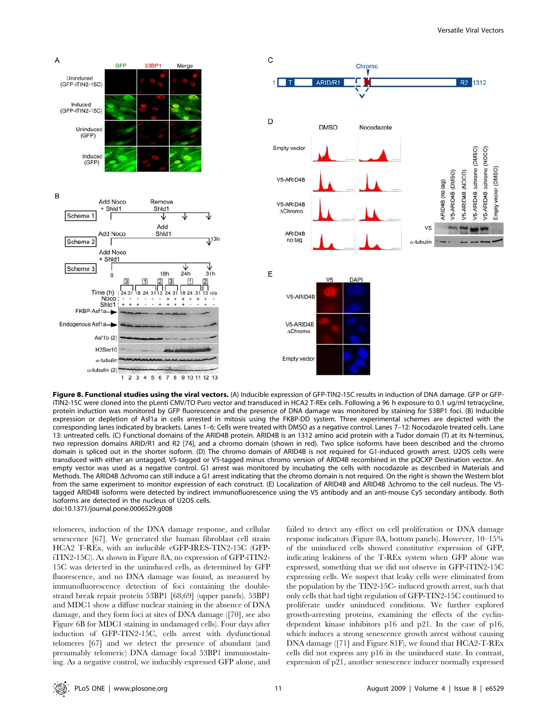

Figure 8. Functional studies using the viral vectors. (A) Inducible expression of GFP-TIN2-15C results in induction of DNA damage. GFP or GFPiTIN2-15C were cloned into the pLenti CMV/TO Puro vector and transduced in HCA2 T-REx cells. Following a 96 h exposure to 0.1 ug/ml tetracycline, protein induction was monitored by GFP fluorescence and the presence of DNA damage was monitored by staining for 53BP1 foci. (B) Inducible expression or depletion of Asf1a in cells arrested in mitosis using the FKBP-DD system. Three experimental schemes are depicted with the corresponding lanes indicated by brackets. Lanes 1–6: Cells were treated with DMSO as a negative control. Lanes 7–12: Nocodazole treated cells. Lane 13: untreated cells. (C) Functional domains of the ARID4B protein. ARID4B is an 1312 amino acid protein with a Tudor domain (T) at its N-terminus, two repression domains ARID/R1 and R2 [74], and a chromo domain (shown in red). Two splice isoforms have been described and the chromo domain is spliced out in the shorter isoform. (D) The chromo domain of ARID4B is not required for G1-induced growth arrest. U2OS cells were transduced with either an untagged, V5-tagged or V5-tagged minus chromo version of ARID4B recombined in the pQCXP Destination vector. An empty vector was used as a negative control. G1 arrest was monitored by incubating the cells with nocodazole as described in Materials and Methods. The ARID4B Achromo can still induce a G1 arrest indicating that the chromo domain is not required. On the right is shown the Western blot from the same experiment to monitor expression of each construct. (E) Localization of ARID4B and ARID4B  $\Delta$ chromo to the cell nucleus. The V5tagged ARID4B isoforms were detected by indirect immunofluorescence using the V5 antibody and an anti-mouse Cy5 secondary antibody. Both isoforms are detected in the nucleus of U2OS cells. doi:10.1371/journal.pone.0006529.g008

telomeres, induction of the DNA damage response, and cellular senescence [67]. We generated the human fibroblast cell strain HCA2 T-REx, with an inducible eGFP-IRES-TIN2-15C (GFPiTIN2-15C). As shown in Figure 8A, no expression of GFP-iTIN2- 15C was detected in the uninduced cells, as determined by GFP fluorescence, and no DNA damage was found, as measured by immunofluorescence detection of foci containing the doublestrand break repair protein 53BP1 [68,69] (upper panels). 53BP1 and MDC1 show a diffuse nuclear staining in the absence of DNA damage, and they form foci at sites of DNA damage ([70], see also Figure 6B for MDC1 staining in undamaged cells). Four days after induction of GFP-TIN2-15C, cells arrest with dysfunctional telomeres [67] and we detect the presence of abundant (and presumably telomeric) DNA damage focal 53BP1 immunostaining. As a negative control, we inducibly expressed GFP alone, and failed to detect any effect on cell proliferation or DNA damage response indicators (Figure 8A, bottom panels). However, 10–15% of the uninduced cells showed constitutive expression of GFP, indicating leakiness of the T-REx system when GFP alone was expressed, something that we did not observe in GFP-iTIN2-15C expressing cells. We suspect that leaky cells were eliminated from the population by the TIN2-15C- induced growth arrest, such that only cells that had tight regulation of GFP-TIN2-15C continued to proliferate under uninduced conditions. We further explored growth-arresting proteins, examining the effects of the cyclindependent kinase inhibitors p16 and p21. In the case of p16, which induces a strong senescence growth arrest without causing DNA damage ([71] and Figure S1F), we found that HCA2-T-REx cells did not express any p16 in the uninduced state. In contrast, expression of p21, another senescence inducer normally expressed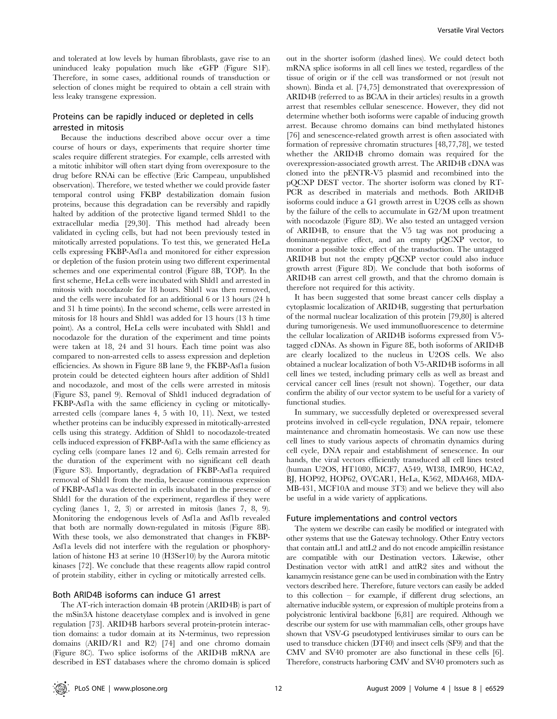and tolerated at low levels by human fibroblasts, gave rise to an uninduced leaky population much like eGFP (Figure S1F). Therefore, in some cases, additional rounds of transduction or selection of clones might be required to obtain a cell strain with less leaky transgene expression.

# Proteins can be rapidly induced or depleted in cells arrested in mitosis

Because the inductions described above occur over a time course of hours or days, experiments that require shorter time scales require different strategies. For example, cells arrested with a mitotic inhibitor will often start dying from overexposure to the drug before RNAi can be effective (Eric Campeau, unpublished observation). Therefore, we tested whether we could provide faster temporal control using FKBP destabilization domain fusion proteins, because this degradation can be reversibly and rapidly halted by addition of the protective ligand termed Shld1 to the extracellular media [29,30]. This method had already been validated in cycling cells, but had not been previously tested in mitotically arrested populations. To test this, we generated HeLa cells expressing FKBP-Asf1a and monitored for either expression or depletion of the fusion protein using two different experimental schemes and one experimental control (Figure 8B, TOP). In the first scheme, HeLa cells were incubated with Shld1 and arrested in mitosis with nocodazole for 18 hours. Shld1 was then removed, and the cells were incubated for an additional 6 or 13 hours (24 h and 31 h time points). In the second scheme, cells were arrested in mitosis for 18 hours and Shld1 was added for 13 hours (13 h time point). As a control, HeLa cells were incubated with Shld1 and nocodazole for the duration of the experiment and time points were taken at 18, 24 and 31 hours. Each time point was also compared to non-arrested cells to assess expression and depletion efficiencies. As shown in Figure 8B lane 9, the FKBP-Asf1a fusion protein could be detected eighteen hours after addition of Shld1 and nocodazole, and most of the cells were arrested in mitosis (Figure S3, panel 9). Removal of Shld1 induced degradation of FKBP-Asf1a with the same efficiency in cycling or mitoticallyarrested cells (compare lanes 4, 5 with 10, 11). Next, we tested whether proteins can be inducibly expressed in mitotically-arrested cells using this strategy. Addition of Shld1 to nocodazole-treated cells induced expression of FKBP-Asf1a with the same efficiency as cycling cells (compare lanes 12 and 6). Cells remain arrested for the duration of the experiment with no significant cell death (Figure S3). Importantly, degradation of FKBP-Asf1a required removal of Shld1 from the media, because continuous expression of FKBP-Asf1a was detected in cells incubated in the presence of Shld1 for the duration of the experiment, regardless if they were cycling (lanes 1, 2, 3) or arrested in mitosis (lanes 7, 8, 9). Monitoring the endogenous levels of Asf1a and Asf1b revealed that both are normally down-regulated in mitosis (Figure 8B). With these tools, we also demonstrated that changes in FKBP-Asf1a levels did not interfere with the regulation or phosphorylation of histone H3 at serine 10 (H3Ser10) by the Aurora mitotic kinases [72]. We conclude that these reagents allow rapid control of protein stability, either in cycling or mitotically arrested cells.

#### Both ARID4B isoforms can induce G1 arrest

The AT-rich interaction domain 4B protein (ARID4B) is part of the mSin3A histone deacetylase complex and is involved in gene regulation [73]. ARID4B harbors several protein-protein interaction domains: a tudor domain at its N-terminus, two repression domains (ARID/R1 and R2) [74] and one chromo domain (Figure 8C). Two splice isoforms of the ARID4B mRNA are described in EST databases where the chromo domain is spliced

out in the shorter isoform (dashed lines). We could detect both mRNA splice isoforms in all cell lines we tested, regardless of the tissue of origin or if the cell was transformed or not (result not shown). Binda et al. [74,75] demonstrated that overexpression of ARID4B (referred to as BCAA in their articles) results in a growth arrest that resembles cellular senescence. However, they did not determine whether both isoforms were capable of inducing growth arrest. Because chromo domains can bind methylated histones [76] and senescence-related growth arrest is often associated with formation of repressive chromatin structures [48,77,78], we tested whether the ARID4B chromo domain was required for the overexpression-associated growth arrest. The ARID4B cDNA was cloned into the pENTR-V5 plasmid and recombined into the pQCXP DEST vector. The shorter isoform was cloned by RT-PCR as described in materials and methods. Both ARID4B isoforms could induce a G1 growth arrest in U2OS cells as shown by the failure of the cells to accumulate in G2/M upon treatment with nocodazole (Figure 8D). We also tested an untagged version of ARID4B, to ensure that the V5 tag was not producing a dominant-negative effect, and an empty pQCXP vector, to monitor a possible toxic effect of the transduction. The untagged ARID4B but not the empty pQCXP vector could also induce growth arrest (Figure 8D). We conclude that both isoforms of ARID4B can arrest cell growth, and that the chromo domain is therefore not required for this activity.

It has been suggested that some breast cancer cells display a cytoplasmic localization of ARID4B, suggesting that perturbation of the normal nuclear localization of this protein [79,80] is altered during tumorigenesis. We used immunofluorescence to determine the cellular localization of ARID4B isoforms expressed from V5 tagged cDNAs. As shown in Figure 8E, both isoforms of ARID4B are clearly localized to the nucleus in U2OS cells. We also obtained a nuclear localization of both V5-ARID4B isoforms in all cell lines we tested, including primary cells as well as breast and cervical cancer cell lines (result not shown). Together, our data confirm the ability of our vector system to be useful for a variety of functional studies.

In summary, we successfully depleted or overexpressed several proteins involved in cell-cycle regulation, DNA repair, telomere maintenance and chromatin homeostasis. We can now use these cell lines to study various aspects of chromatin dynamics during cell cycle, DNA repair and establishment of senescence. In our hands, the viral vectors efficiently transduced all cell lines tested (human U2OS, HT1080, MCF7, A549, WI38, IMR90, HCA2, BJ, HOP92, HOP62, OVCAR1, HeLa, K562, MDA468, MDA-MB-431, MCF10A and mouse 3T3) and we believe they will also be useful in a wide variety of applications.

#### Future implementations and control vectors

The system we describe can easily be modified or integrated with other systems that use the Gateway technology. Other Entry vectors that contain attL1 and attL2 and do not encode ampicillin resistance are compatible with our Destination vectors. Likewise, other Destination vector with attR1 and attR2 sites and without the kanamycin resistance gene can be used in combination with the Entry vectors described here. Therefore, future vectors can easily be added to this collection – for example, if different drug selections, an alternative inducible system, or expression of multiple proteins from a polycistronic lentiviral backbone [6,81] are required. Although we describe our system for use with mammalian cells, other groups have shown that VSV-G pseudotyped lentiviruses similar to ours can be used to transduce chicken (DT40) and insect cells (SF9) and that the CMV and SV40 promoter are also functional in these cells [6]. Therefore, constructs harboring CMV and SV40 promoters such as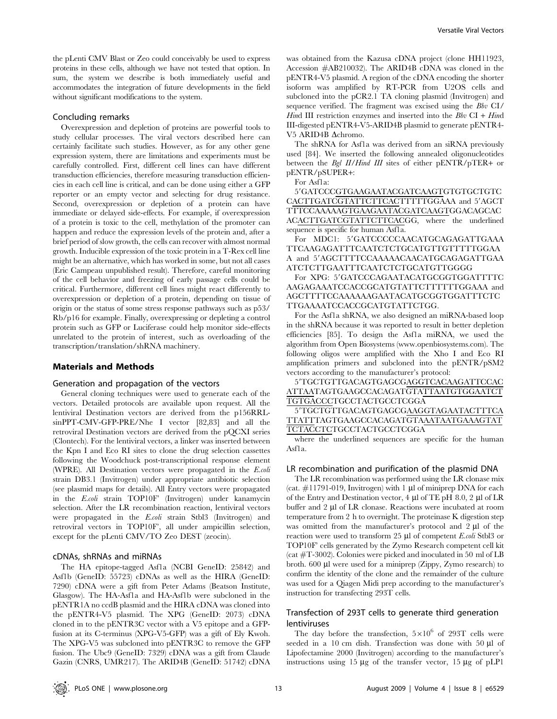the pLenti CMV Blast or Zeo could conceivably be used to express proteins in these cells, although we have not tested that option. In sum, the system we describe is both immediately useful and accommodates the integration of future developments in the field without significant modifications to the system.

#### Concluding remarks

Overexpression and depletion of proteins are powerful tools to study cellular processes. The viral vectors described here can certainly facilitate such studies. However, as for any other gene expression system, there are limitations and experiments must be carefully controlled. First, different cell lines can have different transduction efficiencies, therefore measuring transduction efficiencies in each cell line is critical, and can be done using either a GFP reporter or an empty vector and selecting for drug resistance. Second, overexpression or depletion of a protein can have immediate or delayed side-effects. For example, if overexpression of a protein is toxic to the cell, methylation of the promoter can happen and reduce the expression levels of the protein and, after a brief period of slow growth, the cells can recover with almost normal growth. Inducible expression of the toxic protein in a T-Rex cell line might be an alternative, which has worked in some, but not all cases (Eric Campeau unpublished result). Therefore, careful monitoring of the cell behavior and freezing of early passage cells could be critical. Furthermore, different cell lines might react differently to overexpression or depletion of a protein, depending on tissue of origin or the status of some stress response pathways such as p53/ Rb/p16 for example. Finally, overexpressing or depleting a control protein such as GFP or Luciferase could help monitor side-effects unrelated to the protein of interest, such as overloading of the transcription/translation/shRNA machinery.

# Materials and Methods

#### Generation and propagation of the vectors

General cloning techniques were used to generate each of the vectors. Detailed protocols are available upon request. All the lentiviral Destination vectors are derived from the p156RRLsinPPT-CMV-GFP-PRE/Nhe I vector [82,83] and all the retroviral Destination vectors are derived from the pQCXI series (Clontech). For the lentiviral vectors, a linker was inserted between the Kpn I and Eco RI sites to clone the drug selection cassettes following the Woodchuck post-transcriptional response element (WPRE). All Destination vectors were propagated in the E.coli strain DB3.1 (Invitrogen) under appropriate antibiotic selection (see plasmid maps for details). All Entry vectors were propagated in the E.coli strain TOP10F' (Invitrogen) under kanamycin selection. After the LR recombination reaction, lentiviral vectors were propagated in the E.coli strain Stbl3 (Invitrogen) and retroviral vectors in TOP10F', all under ampicillin selection, except for the pLenti CMV/TO Zeo DEST (zeocin).

#### cDNAs, shRNAs and miRNAs

The HA epitope-tagged Asf1a (NCBI GeneID: 25842) and Asf1b (GeneID: 55723) cDNAs as well as the HIRA (GeneID: 7290) cDNA were a gift from Peter Adams (Beatson Institute, Glasgow). The HA-Asf1a and HA-Asf1b were subcloned in the pENTR1A no ccdB plasmid and the HIRA cDNA was cloned into the pENTR4-V5 plasmid. The XPG (GeneID: 2073) cDNA cloned in to the pENTR3C vector with a V5 epitope and a GFPfusion at its C-terminus (XPG-V5-GFP) was a gift of Ely Kwoh. The XPG-V5 was subcloned into pENTR3C to remove the GFP fusion. The Ubc9 (GeneID: 7329) cDNA was a gift from Claude Gazin (CNRS, UMR217). The ARID4B (GeneID: 51742) cDNA

was obtained from the Kazusa cDNA project (clone HH11923, Accession #AB210032). The ARID4B cDNA was cloned in the pENTR4-V5 plasmid. A region of the cDNA encoding the shorter isoform was amplified by RT-PCR from U2OS cells and subcloned into the pCR2.1 TA cloning plasmid (Invitrogen) and sequence verified. The fragment was excised using the Bbv CI/ Hind III restriction enzymes and inserted into the  $Bbv$  CI + Hind III-digested pENTR4-V5-ARID4B plasmid to generate pENTR4- V5 ARID4B Achromo.

The shRNA for Asf1a was derived from an siRNA previously used [84]. We inserted the following annealed oligonucleotides between the Bgl II/Hind III sites of either pENTR/pTER+ or pENTR/pSUPER+:

For Asf1a:

5'GATCCCGTGAAGAATACGATCAAGTGTGTGCTGTC CACTTGATCGTATTCTTCACTTTTTGGAAA and 5'AGCT TTTCCAAAAAGTGAAGAATACGATCAAGTGGACAGCAC ACACTTGATCGTATTCTTCACGG, where the underlined sequence is specific for human Asf1a.

For MDC1: 5'GATCCCCCAACATGCAGAGATTGAAA TTCAAGAGATTTCAATCTCTGCATGTTGTTTTTGGAA A and 5'AGCTTTTCCAAAAACAACATGCAGAGATTGAA ATCTCTTGAATTTCAATCTCTGCATGTTGGGG

For XPG: 5'GATCCCAGAATACATGCGGTGGATTTTC AAGAGAAATCCACCGCATGTATTCTTTTTTGGAAA and AGCTTTTCCAAAAAAGAATACATGCGGTGGATTTCTC TTGAAAATCCACCGCATGTATTCTGG.

For the Asf1a shRNA, we also designed an miRNA-based loop in the shRNA because it was reported to result in better depletion efficiencies [85]. To design the Asf1a miRNA, we used the algorithm from Open Biosystems (www.openbiosystems.com). The following oligos were amplified with the Xho I and Eco RI amplification primers and subcloned into the pENTR/pSM2 vectors according to the manufacturer's protocol:

59TGCTGTTGACAGTGAGCGAGGTCACAAGATTCCAC ATTAATAGTGAAGCCACAGATGTATTAATGTGGAATCT TGTGACCCTGCCTACTGCCTCGGA

5'TGCTGTTGACAGTGAGCGAAGGTAGAATACTTTCA TTATTTAGTGAAGCCACAGATGTAAATAATGAAAGTAT TCTACCTCTGCCTACTGCCTCGGA

where the underlined sequences are specific for the human Asf1a.

#### LR recombination and purification of the plasmid DNA

The LR recombination was performed using the LR clonase mix (cat.  $\#11791-019$ , Invitrogen) with 1 µl of miniprep DNA for each of the Entry and Destination vector,  $4 \mu$ l of TE pH 8.0, 2  $\mu$ l of LR buffer and  $2 \mu$ l of LR clonase. Reactions were incubated at room temperature from 2 h to overnight. The proteinase K digestion step was omitted from the manufacturer's protocol and  $2 \mu$  of the reaction were used to transform 25  $\mu$ l of competent *E.coli* Stbl3 or TOP10F' cells generated by the Zymo Research competent cell kit (cat #T-3002). Colonies were picked and inoculated in 50 ml of LB broth.  $600 \mu l$  were used for a miniprep (Zippy, Zymo research) to confirm the identity of the clone and the remainder of the culture was used for a Qiagen Midi prep according to the manufacturer's instruction for transfecting 293T cells.

# Transfection of 293T cells to generate third generation lentiviruses

The day before the transfection,  $5\times10^6$  of 293T cells were seeded in a  $10 \text{ cm}$  dish. Transfection was done with  $50 \text{ }\mu\text{l}$  of Lipofectamine 2000 (Invitrogen) according to the manufacturer's instructions using  $15 \mu g$  of the transfer vector,  $15 \mu g$  of pLP1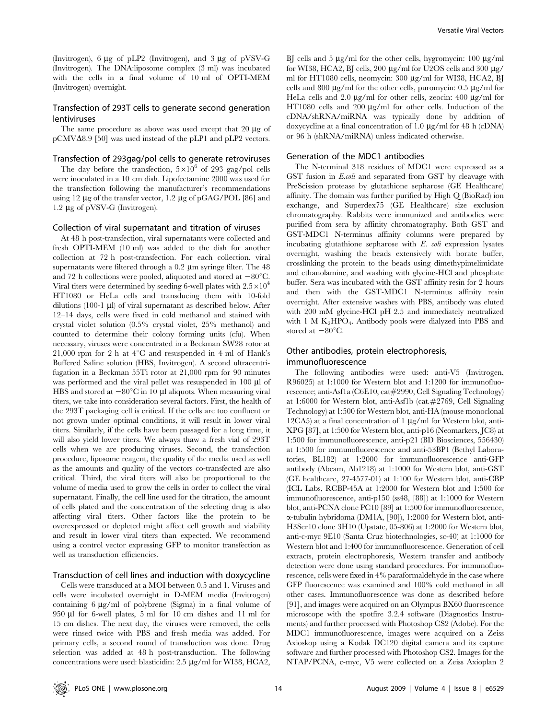(Invitrogen),  $6 \mu g$  of pLP2 (Invitrogen), and  $3 \mu g$  of pVSV-G (Invitrogen). The DNA:liposome complex (3 ml) was incubated with the cells in a final volume of 10 ml of OPTI-MEM (Invitrogen) overnight.

# Transfection of 293T cells to generate second generation lentiviruses

The same procedure as above was used except that 20  $\mu$ g of  $pCMV\Delta8.9$  [50] was used instead of the pLP1 and pLP2 vectors.

#### Transfection of 293gag/pol cells to generate retroviruses

The day before the transfection,  $5\times10^6$  of 293 gag/pol cells were inoculated in a 10 cm dish. Lipofectamine 2000 was used for the transfection following the manufacturer's recommendations using 12  $\mu$ g of the transfer vector, 1.2  $\mu$ g of pGAG/POL [86] and 1.2 µg of pVSV-G (Invitrogen).

# Collection of viral supernatant and titration of viruses

At 48 h post-transfection, viral supernatants were collected and fresh OPTI-MEM (10 ml) was added to the dish for another collection at 72 h post-transfection. For each collection, viral supernatants were filtered through a  $0.2 \mu m$  syringe filter. The  $48 \mu m$ and 72 h collections were pooled, aliquoted and stored at  $-80^{\circ}$ C. Viral titers were determined by seeding 6-well plates with  $2.5 \times 10^4$ HT1080 or HeLa cells and transducing them with 10-fold dilutions (100-1  $\mu$ l) of viral supernatant as described below. After 12–14 days, cells were fixed in cold methanol and stained with crystal violet solution (0.5% crystal violet, 25% methanol) and counted to determine their colony forming units (cfu). When necessary, viruses were concentrated in a Beckman SW28 rotor at 21,000 rpm for 2 h at  $4^{\circ}$ C and resuspended in 4 ml of Hank's Buffered Saline solution (HBS, Invitrogen). A second ultracentrifugation in a Beckman 55Ti rotor at 21,000 rpm for 90 minutes was performed and the viral pellet was resuspended in 100 µl of HBS and stored at  $-80^{\circ}$ C in 10 µl aliquots. When measuring viral titers, we take into consideration several factors. First, the health of the 293T packaging cell is critical. If the cells are too confluent or not grown under optimal conditions, it will result in lower viral titers. Similarly, if the cells have been passaged for a long time, it will also yield lower titers. We always thaw a fresh vial of 293T cells when we are producing viruses. Second, the transfection procedure, liposome reagent, the quality of the media used as well as the amounts and quality of the vectors co-transfected are also critical. Third, the viral titers will also be proportional to the volume of media used to grow the cells in order to collect the viral supernatant. Finally, the cell line used for the titration, the amount of cells plated and the concentration of the selecting drug is also affecting viral titers. Other factors like the protein to be overexpressed or depleted might affect cell growth and viability and result in lower viral titers than expected. We recommend using a control vector expressing GFP to monitor transfection as well as transduction efficiencies.

# Transduction of cell lines and induction with doxycycline

Cells were transduced at a MOI between 0.5 and 1. Viruses and cells were incubated overnight in D-MEM media (Invitrogen) containing  $6 \mu g/ml$  of polybrene (Sigma) in a final volume of 950 ml for 6-well plates, 5 ml for 10 cm dishes and 11 ml for 15 cm dishes. The next day, the viruses were removed, the cells were rinsed twice with PBS and fresh media was added. For primary cells, a second round of transduction was done. Drug selection was added at 48 h post-transduction. The following concentrations were used: blasticidin:  $2.5 \mu$ g/ml for WI38, HCA2,

BJ cells and 5  $\mu$ g/ml for the other cells, hygromycin: 100  $\mu$ g/ml for WI38, HCA2, BJ cells, 200  $\mu$ g/ml for U2OS cells and 300  $\mu$ g/ ml for HT1080 cells, neomycin: 300 µg/ml for WI38, HCA2, BJ cells and 800  $\mu$ g/ml for the other cells, puromycin: 0.5  $\mu$ g/ml for HeLa cells and 2.0  $\mu$ g/ml for other cells, zeocin: 400  $\mu$ g/ml for HT1080 cells and 200  $\mu$ g/ml for other cells. Induction of the cDNA/shRNA/miRNA was typically done by addition of doxycycline at a final concentration of 1.0  $\mu$ g/ml for 48 h (cDNA) or 96 h (shRNA/miRNA) unless indicated otherwise.

### Generation of the MDC1 antibodies

The N-terminal 318 residues of MDC1 were expressed as a GST fusion in E.coli and separated from GST by cleavage with PreScission protease by glutathione sepharose (GE Healthcare) affinity. The domain was further purified by High Q (BioRad) ion exchange, and Superdex75 (GE Healthcare) size exclusion chromatography. Rabbits were immunized and antibodies were purified from sera by affinity chromatography. Both GST and GST-MDC1 N-terminus affinity columns were prepared by incubating glutathione sepharose with E. coli expression lysates overnight, washing the beads extensively with borate buffer, crosslinking the protein to the beads using dimethypimelimidate and ethanolamine, and washing with glycine-HCl and phosphate buffer. Sera was incubated with the GST affinity resin for 2 hours and then with the GST-MDC1 N-terminus affinity resin overnight. After extensive washes with PBS, antibody was eluted with 200 mM glycine-HCl pH 2.5 and immediately neutralized with 1 M  $K_2HPO_4$ . Antibody pools were dialyzed into PBS and stored at  $-80^{\circ}$ C.

# Other antibodies, protein electrophoresis, immunofluorescence

The following antibodies were used: anti-V5 (Invitrogen, R96025) at 1:1000 for Western blot and 1:1200 for immunofluorescence; anti-Asf1a (C6E10, cat#2990, Cell Signaling Technology) at 1:6000 for Western blot, anti-Asf1b (cat.#2769, Cell Signaling Technology) at 1:500 for Western blot, anti-HA (mouse monoclonal  $12CA5$ ) at a final concentration of 1  $\mu$ g/ml for Western blot, anti-XPG [87], at 1:500 for Western blot, anti-p16 (Neomarkers, JC8) at 1:500 for immunofluorescence, anti-p21 (BD Biosciences, 556430) at 1:500 for immunofluorescence and anti-53BP1 (Bethyl Laboratories, BL182) at 1:2000 for immunofluorescence anti-GFP antibody (Abcam, Ab1218) at 1:1000 for Western blot, anti-GST (GE healthcare, 27-4577-01) at 1:100 for Western blot, anti-CBP (ICL Labs, RCBP-45A at 1:2000 for Western blot and 1:500 for immunofluorescence, anti-p150 (ss48, [88]) at 1:1000 for Western blot, anti-PCNA clone PC10 [89] at 1:500 for immunofluorescence, a-tubulin hybridoma (DM1A, [90]), 1:2000 for Western blot, anti-H3Ser10 clone 3H10 (Upstate, 05-806) at 1:2000 for Western blot, anti-c-myc 9E10 (Santa Cruz biotechnologies, sc-40) at 1:1000 for Western blot and 1:400 for immunofluorescence. Generation of cell extracts, protein electrophoresis, Western transfer and antibody detection were done using standard procedures. For immunofluorescence, cells were fixed in 4% paraformaldehyde in the case where GFP fluorescence was examined and 100% cold methanol in all other cases. Immunofluorescence was done as described before [91], and images were acquired on an Olympus BX60 fluorescence microscope with the spotfire 3.2.4 software (Diagnostics Instruments) and further processed with Photoshop CS2 (Adobe). For the MDC1 immunofluorescence, images were acquired on a Zeiss Axioskop using a Kodak DC120 digital camera and its capture software and further processed with Photoshop CS2. Images for the NTAP/PCNA, c-myc, V5 were collected on a Zeiss Axioplan 2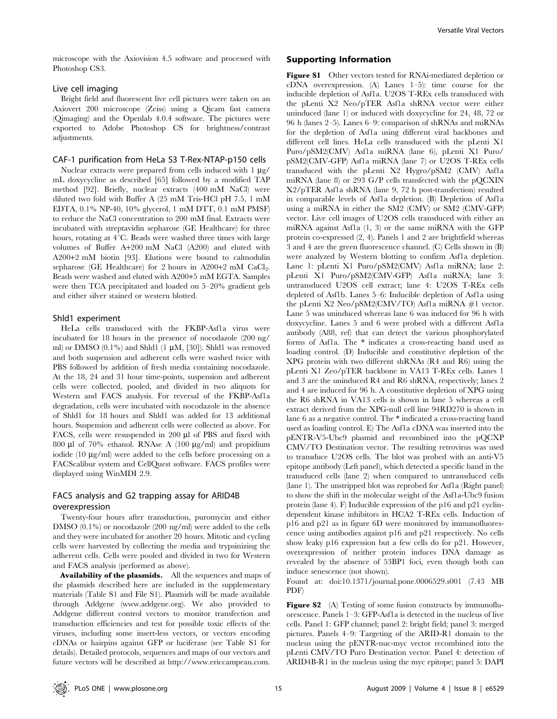microscope with the Axiovision 4.5 software and processed with Photoshop CS3.

# Live cell imaging

Bright field and fluorescent live cell pictures were taken on an Axiovert 200 microscope (Zeiss) using a Qicam fast camera (Qimaging) and the Openlab 4.0.4 software. The pictures were exported to Adobe Photoshop CS for brightness/contrast adjustments.

#### CAF-1 purification from HeLa S3 T-Rex-NTAP-p150 cells

Nuclear extracts were prepared from cells induced with  $1 \mu g$ / mL doxycycline as described [65] followed by a modified TAP method [92]. Briefly, nuclear extracts (400 mM NaCl) were diluted two fold with Buffer A (25 mM Tris-HCl pH 7.5, 1 mM EDTA, 0.1% NP-40, 10% glycerol, 1 mM DTT, 0.1 mM PMSF) to reduce the NaCl concentration to 200 mM final. Extracts were incubated with streptavidin sepharose (GE Healthcare) for three hours, rotating at 4°C. Beads were washed three times with large volumes of Buffer A+200 mM NaCl (A200) and eluted with A200+2 mM biotin [93]. Elutions were bound to calmodulin sepharose (GE Healthcare) for 2 hours in A200+2 mM  $CaCl<sub>2</sub>$ . Beads were washed and eluted with A200+5 mM EGTA. Samples were then TCA precipitated and loaded on 5–20% gradient gels and either silver stained or western blotted.

#### Shld1 experiment

HeLa cells transduced with the FKBP-Asf1a virus were incubated for 18 hours in the presence of nocodazole (200 ng/ ml) or DMSO  $(0.1\%)$  and Shld1  $(1 \mu M, 50]$ . Shld1 was removed and both suspension and adherent cells were washed twice with PBS followed by addition of fresh media containing nocodazole. At the 18, 24 and 31 hour time-points, suspension and adherent cells were collected, pooled, and divided in two aliquots for Western and FACS analysis. For reversal of the FKBP-Asf1a degradation, cells were incubated with nocodazole in the absence of Shld1 for 18 hours and Shld1 was added for 13 additional hours. Suspension and adherent cells were collected as above. For FACS, cells were resuspended in 200 µl of PBS and fixed with 800  $\mu$ l of 70% ethanol. RNAse A (100  $\mu$ g/ml) and propidium iodide  $(10 \mu g/ml)$  were added to the cells before processing on a FACScalibur system and CellQuest software. FACS profiles were displayed using WinMDI 2.9.

# FACS analysis and G2 trapping assay for ARID4B overexpression

Twenty-four hours after transduction, puromycin and either DMSO (0.1%) or nocodazole (200 ng/ml) were added to the cells and they were incubated for another 20 hours. Mitotic and cycling cells were harvested by collecting the media and trypsinizing the adherent cells. Cells were pooled and divided in two for Western and FACS analysis (performed as above).

Availability of the plasmids. All the sequences and maps of the plasmids described here are included in the supplementary materials (Table S1 and File S1). Plasmids will be made available through Addgene (www.addgene.org). We also provided to Addgene different control vectors to monitor transfection and transduction efficiencies and test for possible toxic effects of the viruses, including some insert-less vectors, or vectors encoding cDNAs or hairpins against GFP or luciferase (see Table S1 for details). Detailed protocols, sequences and maps of our vectors and future vectors will be described at http://www.ericcampeau.com.

# Supporting Information

Figure S1 Other vectors tested for RNAi-mediated depletion or cDNA overexpression. (A) Lanes 1–5): time course for the inducible depletion of Asf1a. U2OS T-REx cells transduced with the pLenti X2 Neo/pTER Asf1a shRNA vector were either uninduced (lane 1) or induced with doxycycline for 24, 48, 72 or 96 h (lanes 2–5). Lanes 6–9: comparison of shRNAs and miRNAs for the depletion of Asf1a using different viral backbones and different cell lines. HeLa cells transduced with the pLenti X1 Puro/pSM2(CMV) Asf1a miRNA (lane 6), pLenti X1 Puro/ pSM2(CMV-GFP) Asf1a miRNA (lane 7) or U2OS T-REx cells transduced with the pLenti X2 Hygro/pSM2 (CMV) Asf1a miRNA (lane 8) or 293 G/P cells transfected with the pQCXIN X2/pTER Asf1a shRNA (lane 9, 72 h post-transfection) resulted in comparable levels of Asf1a depletion. (B) Depletion of Asf1a using a miRNA in either the SM2 (CMV) or SM2 (CMV-GFP) vector. Live cell images of U2OS cells transduced with either an miRNA against Asf1a (1, 3) or the same miRNA with the GFP protein co-expressed (2, 4). Panels 1 and 2 are brightfield whereas 3 and 4 are the green fluorescence channel. (C) Cells shown in (B) were analyzed by Western blotting to confirm Asf1a depletion. Lane 1: pLenti X1 Puro/pSM2(CMV) Asfla miRNA; lane 2: pLenti X1 Puro/pSM2(CMV-GFP) Asf1a miRNA; lane 3: untransduced U2OS cell extract; lane 4: U2OS T-REx cells depleted of Asf1b. Lanes 5–6: Inducible depletion of Asf1a using the pLenti X2 Neo/pSM2(CMV/TO) Asf1a miRNA  $#1$  vector. Lane 5 was uninduced whereas lane 6 was induced for 96 h with doxycycline. Lanes 5 and 6 were probed with a different Asf1a antibody (A88, ref) that can detect the various phosphorylated forms of Asf1a. The \* indicates a cross-reacting band used as loading control. (D) Inducible and constitutive depletion of the XPG protein with two different shRNAs (R4 and R6) using the pLenti X1 Zeo/pTER backbone in VA13 T-REx cells. Lanes 1 and 3 are the uninduced R4 and R6 shRNA, respectively; lanes 2 and 4 are induced for 96 h. A constitutive depletion of XPG using the R6 shRNA in VA13 cells is shown in lane 5 whereas a cell extract derived from the XPG-null cell line 94RD270 is shown in lane 6 as a negative control. The \* indicated a cross-reacting band used as loading control. E) The Asf1a cDNA was inserted into the pENTR-V5-Ubc9 plasmid and recombined into the pQCXP CMV/TO Destination vector. The resulting retrovirus was used to transduce U2OS cells. The blot was probed with an anti-V5 epitope antibody (Left panel), which detected a specific band in the transduced cells (lane 2) when compared to untransduced cells (lane 1). The unstripped blot was reprobed for Asf1a (Right panel) to show the shift in the molecular weight of the Asf1a-Ubc9 fusion protein (lane 4). F) Inducible expression of the p16 and p21 cyclindependent kinase inhibitors in HCA2 T-REx cells. Induction of p16 and p21 as in figure 6D were monitored by immunofluorescence using antibodies against p16 and p21 respectively. No cells show leaky p16 expression but a few cells do for p21. However, overexpression of neither protein induces DNA damage as revealed by the absence of 53BP1 foci, even though both can induce senescence (not shown).

Found at: doi:10.1371/journal.pone.0006529.s001 (7.43 MB PDF)

Figure S2 (A) Testing of some fusion constructs by immunofluorescence. Panels 1–3: GFP-Asf1a is detected in the nucleus of live cells. Panel 1: GFP channel; panel 2: bright field; panel 3: merged pictures. Panels 4–9: Targeting of the ARID-R1 domain to the nucleus using the pENTR-nuc-myc vector recombined into the pLenti CMV/TO Puro Destination vector. Panel 4: detection of ARID4B-R1 in the nucleus using the myc epitope; panel 5: DAPI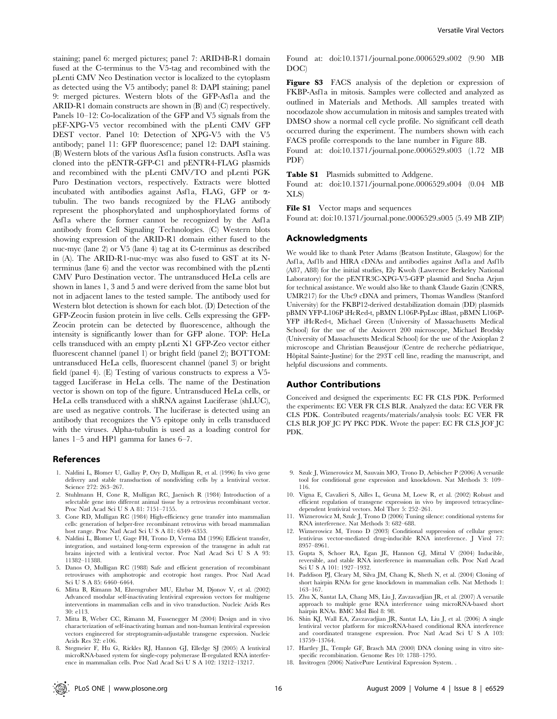staining; panel 6: merged pictures; panel 7: ARID4B-R1 domain fused at the C-terminus to the V5-tag and recombined with the pLenti CMV Neo Destination vector is localized to the cytoplasm as detected using the V5 antibody; panel 8: DAPI staining; panel 9: merged pictures. Western blots of the GFP-Asf1a and the ARID-R1 domain constructs are shown in (B) and (C) respectively. Panels 10–12: Co-localization of the GFP and V5 signals from the pEF-XPG-V5 vector recombined with the pLenti CMV GFP DEST vector. Panel 10: Detection of XPG-V5 with the V5 antibody; panel 11: GFP fluorescence; panel 12: DAPI staining. (B) Western blots of the various Asf1a fusion constructs. Asf1a was cloned into the pENTR-GFP-C1 and pENTR4-FLAG plasmids and recombined with the pLenti CMV/TO and pLenti PGK Puro Destination vectors, respectively. Extracts were blotted incubated with antibodies against Asfla, FLAG, GFP or  $\alpha$ tubulin. The two bands recognized by the FLAG antibody represent the phosphorylated and unphosphorylated forms of Asf1a where the former cannot be recognized by the Asf1a antibody from Cell Signaling Technologies. (C) Western blots showing expression of the ARID-R1 domain either fused to the nuc-myc (lane 2) or V5 (lane 4) tag at its C-terminus as described in (A). The ARID-R1-nuc-myc was also fused to GST at its Nterminus (lane 6) and the vector was recombined with the pLenti CMV Puro Destination vector. The untransduced HeLa cells are shown in lanes 1, 3 and 5 and were derived from the same blot but not in adjacent lanes to the tested sample. The antibody used for Western blot detection is shown for each blot. (D) Detection of the GFP-Zeocin fusion protein in live cells. Cells expressing the GFP-Zeocin protein can be detected by fluorescence, although the intensity is significantly lower than for GFP alone. TOP: HeLa cells transduced with an empty pLenti X1 GFP-Zeo vector either fluorescent channel (panel 1) or bright field (panel 2); BOTTOM: untransduced HeLa cells, fluorescent channel (panel 3) or bright field (panel 4). (E) Testing of various constructs to express a V5 tagged Luciferase in HeLa cells. The name of the Destination vector is shown on top of the figure. Untransduced HeLa cells, or HeLa cells transduced with a shRNA against Luciferase (shLUC), are used as negative controls. The luciferase is detected using an antibody that recognizes the V5 epitope only in cells transduced with the viruses. Alpha-tubulin is used as a loading control for lanes 1–5 and HP1 gamma for lanes 6–7.

#### References

- 1. Naldini L, Blomer U, Gallay P, Ory D, Mulligan R, et al. (1996) In vivo gene delivery and stable transduction of nondividing cells by a lentiviral vector. Science 272: 263–267.
- 2. Stuhlmann H, Cone R, Mulligan RC, Jaenisch R (1984) Introduction of a selectable gene into different animal tissue by a retrovirus recombinant vector. Proc Natl Acad Sci U S A 81: 7151–7155.
- 3. Cone RD, Mulligan RC (1984) High-efficiency gene transfer into mammalian cells: generation of helper-free recombinant retrovirus with broad mammalian host range. Proc Natl Acad Sci U S A 81: 6349–6353.
- 4. Naldini L, Blomer U, Gage FH, Trono D, Verma IM (1996) Efficient transfer, integration, and sustained long-term expression of the transgene in adult rat brains injected with a lentiviral vector. Proc Natl Acad Sci U S A 93: 11382–11388.
- 5. Danos O, Mulligan RC (1988) Safe and efficient generation of recombinant retroviruses with amphotropic and ecotropic host ranges. Proc Natl Acad Sci U S A 85: 6460–6464.
- 6. Mitta B, Rimann M, Ehrengruber MU, Ehrbar M, Djonov V, et al. (2002) Advanced modular self-inactivating lentiviral expression vectors for multigene interventions in mammalian cells and in vivo transduction. Nucleic Acids Res 30: e113.
- 7. Mitta B, Weber CC, Rimann M, Fussenegger M (2004) Design and in vivo characterization of self-inactivating human and non-human lentiviral expression vectors engineered for streptogramin-adjustable transgene expression. Nucleic Acids Res 32: e106.
- 8. Stegmeier F, Hu G, Rickles RJ, Hannon GJ, Elledge SJ (2005) A lentiviral microRNA-based system for single-copy polymerase II-regulated RNA interference in mammalian cells. Proc Natl Acad Sci U S A 102: 13212–13217.

Found at: doi:10.1371/journal.pone.0006529.s002 (9.90 MB DOC)

Figure S3 FACS analysis of the depletion or expression of FKBP-Asf1a in mitosis. Samples were collected and analyzed as outlined in Materials and Methods. All samples treated with nocodazole show accumulation in mitosis and samples treated with DMSO show a normal cell cycle profile. No significant cell death occurred during the experiment. The numbers shown with each FACS profile corresponds to the lane number in Figure 8B.

Found at: doi:10.1371/journal.pone.0006529.s003 (1.72 MB PDF)

Table S1 Plasmids submitted to Addgene.

Found at: doi:10.1371/journal.pone.0006529.s004 (0.04 MB XLS)

File S1 Vector maps and sequences

Found at: doi:10.1371/journal.pone.0006529.s005 (5.49 MB ZIP)

#### Acknowledgments

We would like to thank Peter Adams (Beatson Institute, Glasgow) for the Asf1a, Asf1b and HIRA cDNAs and antibodies against Asf1a and Asf1b (A87, A88) for the initial studies, Ely Kwoh (Lawrence Berkeley National Laboratory) for the pENTR3C-XPG-V5-GFP plasmid and Sneha Arjun for technical assistance. We would also like to thank Claude Gazin (CNRS, UMR217) for the Ubc9 cDNA and primers, Thomas Wandless (Stanford University) for the FKBP12-derived destabilization domain (DD) plasmids pBMN YFP-L106P iHcRed-t, pBMN L106P-PpLuc iBlast, pBMN L106P-YFP iHcRed-t, Michael Green (University of Massachusetts Medical School) for the use of the Axiovert 200 microscope, Michael Brodsky (University of Massachusetts Medical School) for the use of the Axioplan 2 microscope and Christian Beauséjour (Centre de recherche pédiatrique, Hôpital Sainte-Justine) for the 293T cell line, reading the manuscript, and helpful discussions and comments.

#### Author Contributions

Conceived and designed the experiments: EC FR CLS PDK. Performed the experiments: EC VER FR CLS BLR. Analyzed the data: EC VER FR CLS PDK. Contributed reagents/materials/analysis tools: EC VER FR CLS BLR JOF JC PY PKC PDK. Wrote the paper: EC FR CLS JOF JC PDK.

- 9. Szulc J, Wiznerowicz M, Sauvain MO, Trono D, Aebischer P (2006) A versatile tool for conditional gene expression and knockdown. Nat Methods 3: 109– 116.
- 10. Vigna E, Cavalieri S, Ailles L, Geuna M, Loew R, et al. (2002) Robust and efficient regulation of transgene expression in vivo by improved tetracyclinedependent lentiviral vectors. Mol Ther 5: 252–261.
- 11. Wiznerowicz M, Szulc J, Trono D (2006) Tuning silence: conditional systems for RNA interference. Nat Methods 3: 682–688.
- 12. Wiznerowicz M, Trono D (2003) Conditional suppression of cellular genes: lentivirus vector-mediated drug-inducible RNA interference. J Virol 77: 8957–8961.
- 13. Gupta S, Schoer RA, Egan JE, Hannon GJ, Mittal V (2004) Inducible, reversible, and stable RNA interference in mammalian cells. Proc Natl Acad Sci U S A 101: 1927–1932.
- 14. Paddison PJ, Cleary M, Silva JM, Chang K, Sheth N, et al. (2004) Cloning of short hairpin RNAs for gene knockdown in mammalian cells. Nat Methods 1: 163–167.
- 15. Zhu X, Santat LA, Chang MS, Liu J, Zavzavadjian JR, et al. (2007) A versatile approach to multiple gene RNA interference using microRNA-based short hairpin RNAs. BMC Mol Biol 8: 98.
- 16. Shin KJ, Wall EA, Zavzavadjian JR, Santat LA, Liu J, et al. (2006) A single lentiviral vector platform for microRNA-based conditional RNA interference and coordinated transgene expression. Proc Natl Acad Sci U S A 103: 13759–13764.
- 17. Hartley JL, Temple GF, Brasch MA (2000) DNA cloning using in vitro sitespecific recombination. Genome Res 10: 1788–1795.
- 18. Invitrogen (2006) NativePure Lentiviral Expression System. .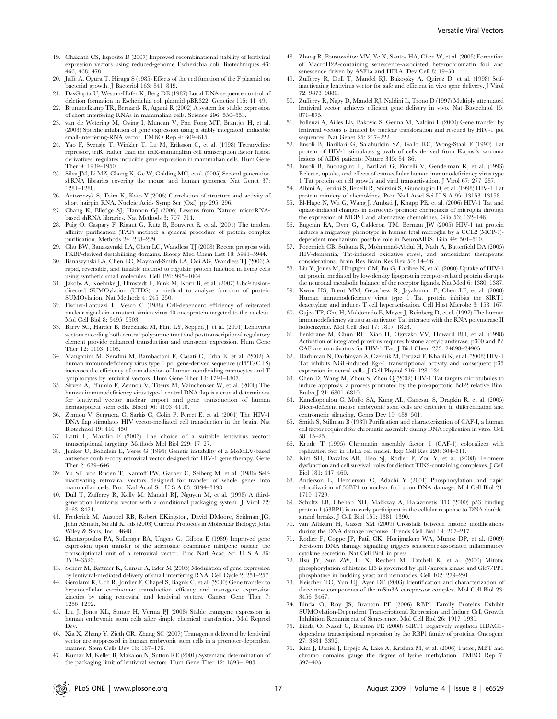- 19. Chakiath CS, Esposito D (2007) Improved recombinational stability of lentiviral expression vectors using reduced-genome Escherichia coli. Biotechniques 43: 466, 468, 470.
- 20. Jaffe A, Ogura T, Hiraga S (1985) Effects of the ccd function of the F plasmid on bacterial growth. J Bacteriol 163: 841–849.
- 21. DasGupta U, Weston-Hafer K, Berg DE (1987) Local DNA sequence control of deletion formation in Escherichia coli plasmid pBR322. Genetics 115: 41–49.
- 22. Brummelkamp TR, Bernards R, Agami R (2002) A system for stable expression of short interfering RNAs in mammalian cells. Science 296: 550–553.
- 23. van de Wetering M, Oving I, Muncan V, Pon Fong MT, Brantjes H, et al. (2003) Specific inhibition of gene expression using a stably integrated, inducible small-interfering-RNA vector. EMBO Rep 4: 609–615.
- 24. Yao F, Svensjo T, Winkler T, Lu M, Eriksson C, et al. (1998) Tetracycline repressor, tetR, rather than the tetR-mammalian cell transcription factor fusion derivatives, regulates inducible gene expression in mammalian cells. Hum Gene Ther 9: 1939–1950.
- 25. Silva JM, Li MZ, Chang K, Ge W, Golding MC, et al. (2005) Second-generation shRNA libraries covering the mouse and human genomes. Nat Genet 37: 1281–1288.
- 26. Antoszczyk S, Taira K, Kato Y (2006) Correlation of structure and activity of short hairpin RNA. Nucleic Acids Symp Ser (Oxf). pp 295–296.
- 27. Chang K, Elledge SJ, Hannon GJ (2006) Lessons from Nature: microRNAbased shRNA libraries. Nat Methods 3: 707–714.
- 28. Puig O, Caspary F, Rigaut G, Rutz B, Bouveret E, et al. (2001) The tandem affinity purification (TAP) method: a general procedure of protein complex purification. Methods 24: 218–229.
- 29. Chu BW, Banaszynski LA, Chen LC, Wandless TJ (2008) Recent progress with FKBP-derived destabilizing domains. Bioorg Med Chem Lett 18: 5941–5944.
- 30. Banaszynski LA, Chen LC, Maynard-Smith LA, Ooi AG, Wandless TJ (2006) A rapid, reversible, and tunable method to regulate protein function in living cells using synthetic small molecules. Cell 126: 995–1004.
- 31. Jakobs A, Koehnke J, Himstedt F, Funk M, Korn B, et al. (2007) Ubc9 fusiondirected SUMOylation (UFDS): a method to analyze function of protein SUMOylation. Nat Methods 4: 245–250.
- 32. Fischer-Fantuzzi L, Vesco C (1988) Cell-dependent efficiency of reiterated nuclear signals in a mutant simian virus 40 oncoprotein targeted to the nucleus. Mol Cell Biol 8: 5495–5503.
- 33. Barry SC, Harder B, Brzezinski M, Flint LY, Seppen J, et al. (2001) Lentivirus vectors encoding both central polypurine tract and posttranscriptional regulatory element provide enhanced transduction and transgene expression. Hum Gene Ther 12: 1103–1108.
- 34. Manganini M, Serafini M, Bambacioni F, Casati C, Erba E, et al. (2002) A human immunodeficiency virus type 1 pol gene-derived sequence (cPPT/CTS) increases the efficiency of transduction of human nondividing monocytes and T lymphocytes by lentiviral vectors. Hum Gene Ther 13: 1793–1807.
- 35. Sirven A, Pflumio F, Zennou V, Titeux M, Vainchenker W, et al. (2000) The human immunodeficiency virus type-1 central DNA flap is a crucial determinant for lentiviral vector nuclear import and gene transduction of human hematopoietic stem cells. Blood 96: 4103–4110.
- 36. Zennou V, Serguera C, Sarkis C, Colin P, Perret E, et al. (2001) The HIV-1 DNA flap stimulates HIV vector-mediated cell transduction in the brain. Nat Biotechnol 19: 446–450.
- 37. Lotti F, Mavilio F (2003) The choice of a suitable lentivirus vector: transcriptional targeting. Methods Mol Biol 229: 17–27.
- 38. Junker U, Bohnlein E, Veres G (1995) Genetic instability of a MoMLV-based antisense double-copy retroviral vector designed for HIV-1 gene therapy. Gene Ther 2: 639–646.
- 39. Yu SF, von Ruden T, Kantoff PW, Garber C, Seiberg M, et al. (1986) Selfinactivating retroviral vectors designed for transfer of whole genes into mammalian cells. Proc Natl Acad Sci U S A 83: 3194–3198.
- 40. Dull T, Zufferey R, Kelly M, Mandel RJ, Nguyen M, et al. (1998) A thirdgeneration lentivirus vector with a conditional packaging system. J Virol 72: 8463–8471.
- 41. Frederick M, Ausubel RB, Robert EKingston, David DMoore, Seidman JG, John ASmith, Struhl K, eds (2003) Current Protocols in Molecular Biology: John Wiley & Sons, Inc. 4648.
- 42. Hantzopoulos PA, Sullenger BA, Ungers G, Gilboa E (1989) Improved gene expression upon transfer of the adenosine deaminase minigene outside the transcriptional unit of a retroviral vector. Proc Natl Acad Sci U S A 86: 3519–3523.
- 43. Scherr M, Battmer K, Ganser A, Eder M (2003) Modulation of gene expression by lentiviral-mediated delivery of small interfering RNA. Cell Cycle 2: 251–257.
- 44. Gerolami R, Uch R, Jordier F, Chapel S, Bagnis C, et al. (2000) Gene transfer to hepatocellular carcinoma: transduction efficacy and transgene expression kinetics by using retroviral and lentiviral vectors. Cancer Gene Ther 7: 1286–1292.
- 45. Liu J, Jones KL, Sumer H, Verma PJ (2008) Stable transgene expression in human embryonic stem cells after simple chemical transfection. Mol Reprod Dev
- 46. Xia X, Zhang Y, Zieth CR, Zhang SC (2007) Transgenes delivered by lentiviral vector are suppressed in human embryonic stem cells in a promoter-dependent manner. Stem Cells Dev 16: 167–176.
- 47. Kumar M, Keller B, Makalou N, Sutton RE (2001) Systematic determination of the packaging limit of lentiviral vectors. Hum Gene Ther 12: 1893–1905.
- 48. Zhang R, Poustovoitov MV, Ye X, Santos HA, Chen W, et al. (2005) Formation of MacroH2A-containing senescence-associated heterochromatin foci and senescence driven by ASF1a and HIRA. Dev Cell 8: 19-30.
- 49. Zufferey R, Dull T, Mandel RJ, Bukovsky A, Quiroz D, et al. (1998) Selfinactivating lentivirus vector for safe and efficient in vivo gene delivery. J Virol 72: 9873–9880.
- 50. Zufferey R, Nagy D, Mandel RJ, Naldini L, Trono D (1997) Multiply attenuated lentiviral vector achieves efficient gene delivery in vivo. Nat Biotechnol 15: 871–875.
- 51. Follenzi A, Ailles LE, Bakovic S, Geuna M, Naldini L (2000) Gene transfer by lentiviral vectors is limited by nuclear translocation and rescued by HIV-1 pol sequences. Nat Genet 25: 217–222.
- 52. Ensoli B, Barillari G, Salahuddin SZ, Gallo RC, Wong-Staal F (1990) Tat protein of HIV-1 stimulates growth of cells derived from Kaposi's sarcoma lesions of AIDS patients. Nature 345: 84–86.
- 53. Ensoli B, Buonaguro L, Barillari G, Fiorelli V, Gendelman R, et al. (1993) Release, uptake, and effects of extracellular human immunodeficiency virus type 1 Tat protein on cell growth and viral transactivation. J Virol 67: 277–287.
- 54. Albini A, Ferrini S, Benelli R, Sforzini S, Giunciuglio D, et al. (1998) HIV-1 Tat protein mimicry of chemokines. Proc Natl Acad Sci U S A 95: 13153–13158.
- 55. El-Hage N, Wu G, Wang J, Ambati J, Knapp PE, et al. (2006) HIV-1 Tat and opiate-induced changes in astrocytes promote chemotaxis of microglia through the expression of MCP-1 and alternative chemokines. Glia 53: 132–146.
- 56. Eugenin EA, Dyer G, Calderon TM, Berman JW (2005) HIV-1 tat protein induces a migratory phenotype in human fetal microglia by a CCL2 (MCP-1) dependent mechanism: possible role in NeuroAIDS. Glia 49: 501–510.
- 57. Pocernich CB, Sultana R, Mohmmad-Abdul H, Nath A, Butterfield DA (2005) HIV-dementia, Tat-induced oxidative stress, and antioxidant therapeutic considerations. Brain Res Brain Res Rev 50: 14–26.
- 58. Liu Y, Jones M, Hingtgen CM, Bu G, Laribee N, et al. (2000) Uptake of HIV-1 tat protein mediated by low-density lipoprotein receptor-related protein disrupts the neuronal metabolic balance of the receptor ligands. Nat Med 6: 1380–1387.
- 59. Kwon HS, Brent MM, Getachew R, Jayakumar P, Chen LF, et al. (2008) Human immunodeficiency virus type 1 Tat protein inhibits the SIRT1 deacetylase and induces T cell hyperactivation. Cell Host Microbe 3: 158–167.
- 60. Cujec TP, Cho H, Maldonado E, Meyer J, Reinberg D, et al. (1997) The human immunodeficiency virus transactivator Tat interacts with the RNA polymerase II holoenzyme. Mol Cell Biol 17: 1817–1823.
- 61. Benkirane M, Chun RF, Xiao H, Ogryzko VV, Howard BH, et al. (1998) Activation of integrated provirus requires histone acetyltransferase. p300 and P/ CAF are coactivators for HIV-1 Tat. J Biol Chem 273: 24898–24905.
- 62. Darbinian N, Darbinyan A, Czernik M, Peruzzi F, Khalili K, et al. (2008) HIV-1 Tat inhibits NGF-induced Egr-1 transcriptional activity and consequent p35 expression in neural cells. J Cell Physiol 216: 128–134.
- 63. Chen D, Wang M, Zhou S, Zhou Q (2002) HIV-1 Tat targets microtubules to induce apoptosis, a process promoted by the pro-apoptotic Bcl-2 relative Bim. Embo J 21: 6801–6810.
- 64. Kanellopoulou C, Muljo SA, Kung AL, Ganesan S, Drapkin R, et al. (2005) Dicer-deficient mouse embryonic stem cells are defective in differentiation and centromeric silencing. Genes Dev 19: 489–501.
- 65. Smith S, Stillman B (1989) Purification and characterization of CAF-I, a human cell factor required for chromatin assembly during DNA replication in vitro. Cell 58: 15–25.
- 66. Krude T (1995) Chromatin assembly factor 1 (CAF-1) colocalizes with replication foci in HeLa cell nuclei. Exp Cell Res 220: 304–311.
- 67. Kim SH, Davalos AR, Heo SJ, Rodier F, Zou Y, et al. (2008) Telomere dysfunction and cell survival: roles for distinct TIN2-containing complexes. J Cell Biol 181: 447–460.
- 68. Anderson L, Henderson C, Adachi Y (2001) Phosphorylation and rapid relocalization of 53BP1 to nuclear foci upon DNA damage. Mol Cell Biol 21: 1719–1729.
- 69. Schultz LB, Chehab NH, Malikzay A, Halazonetis TD (2000) p53 binding protein 1 (53BP1) is an early participant in the cellular response to DNA doublestrand breaks. J Cell Biol 151: 1381–1390.
- 70. van Attikum H, Gasser SM (2009) Crosstalk between histone modifications during the DNA damage response. Trends Cell Biol 19: 207–217.
- 71. Rodier F, Coppe JP, Patil CK, Hoeijmakers WA, Munoz DP, et al. (2009) Persistent DNA damage signalling triggers senescence-associated inflammatory cytokine secretion. Nat Cell Biol. in press.
- 72. Hsu JY, Sun ZW, Li X, Reuben M, Tatchell K, et al. (2000) Mitotic phosphorylation of histone H3 is governed by Ipl1/aurora kinase and Glc7/PP1 phosphatase in budding yeast and nematodes. Cell 102: 279–291.
- 73. Fleischer TC, Yun UJ, Ayer DE (2003) Identification and characterization of three new components of the mSin3A corepressor complex. Mol Cell Biol 23: 3456–3467.
- 74. Binda O, Roy JS, Branton PE (2006) RBP1 Family Proteins Exhibit SUMOylation-Dependent Transcriptional Repression and Induce Cell Growth Inhibition Reminiscent of Senescence. Mol Cell Biol 26: 1917–1931.
- 75. Binda O, Nassif C, Branton PE (2008) SIRT1 negatively regulates HDAC1 dependent transcriptional repression by the RBP1 family of proteins. Oncogene 27: 3384–3392.
- 76. Kim J, Daniel J, Espejo A, Lake A, Krishna M, et al. (2006) Tudor, MBT and chromo domains gauge the degree of lysine methylation. EMBO Rep 7: 397–403.